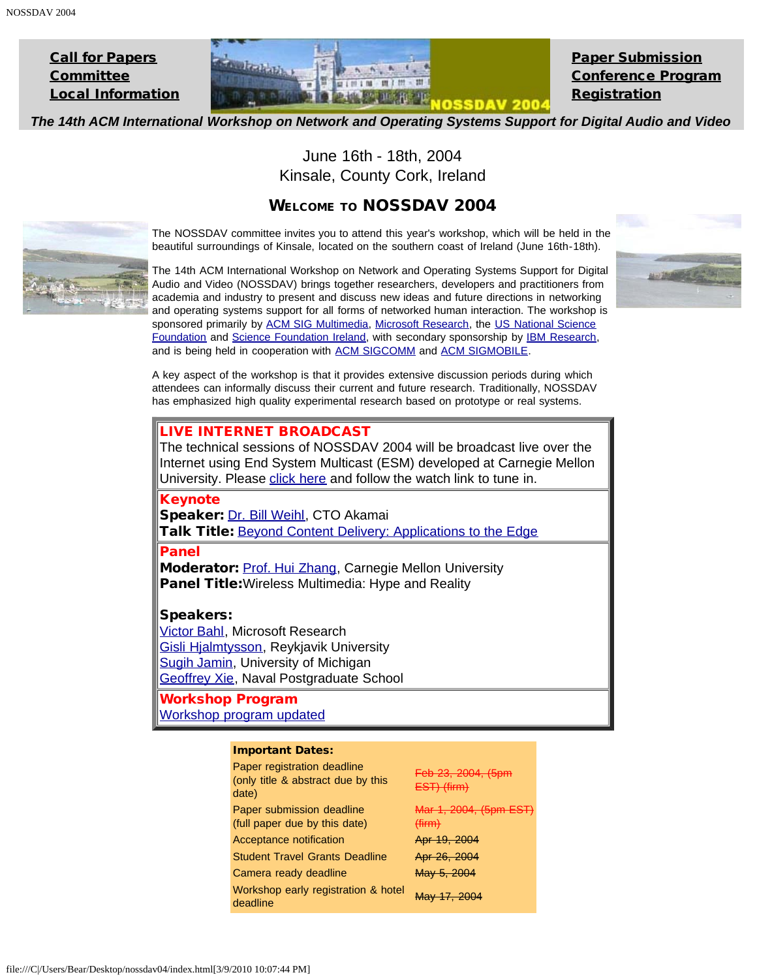<span id="page-0-0"></span>[Call for Papers](#page-2-0) **[Committee](#page-4-0)** [Local Information](#page-5-0)



[Paper Submission](#page-8-0) [Conference Program](#page-10-0) **[Registration](#page-16-0)** 

*The 14th ACM International Workshop on Network and Operating Systems Support for Digital Audio and Video*

June 16th - 18th, 2004 Kinsale, County Cork, Ireland

### WELCOME TO NOSSDAV 2004



The NOSSDAV committee invites you to attend this year's workshop, which will be held in the beautiful surroundings of Kinsale, located on the southern coast of Ireland (June 16th-18th).

The 14th ACM International Workshop on Network and Operating Systems Support for Digital Audio and Video (NOSSDAV) brings together researchers, developers and practitioners from academia and industry to present and discuss new ideas and future directions in networking and operating systems support for all forms of networked human interaction. The workshop is sponsored primarily by [ACM SIG Multimedia](javascript:if(confirm(), [Microsoft Research,](javascript:if(confirm() the [US National Science](javascript:if(confirm() [Foundation](javascript:if(confirm() and [Science Foundation Ireland](javascript:if(confirm(), with secondary sponsorship by [IBM Research,](javascript:if(confirm() and is being held in cooperation with [ACM SIGCOMM](javascript:if(confirm() and [ACM SIGMOBILE.](javascript:if(confirm()



A key aspect of the workshop is that it provides extensive discussion periods during which attendees can informally discuss their current and future research. Traditionally, NOSSDAV has emphasized high quality experimental research based on prototype or real systems.

#### LIVE INTERNET BROADCAST

The technical sessions of NOSSDAV 2004 will be broadcast live over the Internet using End System Multicast (ESM) developed at Carnegie Mellon University. Please [click here](javascript:if(confirm() and follow the watch link to tune in.

#### Keynote

Speaker: [Dr. Bill Weihl,](javascript:if(confirm() CTO Akamai Talk Title: [Beyond Content Delivery: Applications to the Edge](#page-17-0)

#### Panel

**Moderator: [Prof. Hui Zhang](javascript:if(confirm(), Carnegie Mellon University** Panel Title: Wireless Multimedia: Hype and Reality

#### Speakers:

**[Victor Bahl,](javascript:if(confirm() Microsoft Research [Gisli Hjalmtysson](javascript:if(confirm(), Reykjavik University** [Sugih Jamin](javascript:if(confirm(), University of Michigan **[Geoffrey Xie,](javascript:if(confirm() Naval Postgraduate School** 

Workshop Program [Workshop program updated](#page-10-0)

#### Important Dates:

| Paper registration deadline<br>(only title & abstract due by this<br>date) | Feb 23, 2004, (5pm<br>EST) (firm)           |
|----------------------------------------------------------------------------|---------------------------------------------|
| Paper submission deadline<br>(full paper due by this date)                 | Mar 1, 2004, (5pm EST)<br><del>(firm)</del> |
| Acceptance notification                                                    | Apr 19, 2004                                |
| <b>Student Travel Grants Deadline</b>                                      | Apr 26, 2004                                |
| Camera ready deadline                                                      | May 5, 2004                                 |
| Workshop early registration & hotel<br>deadline                            | May 17, 2004                                |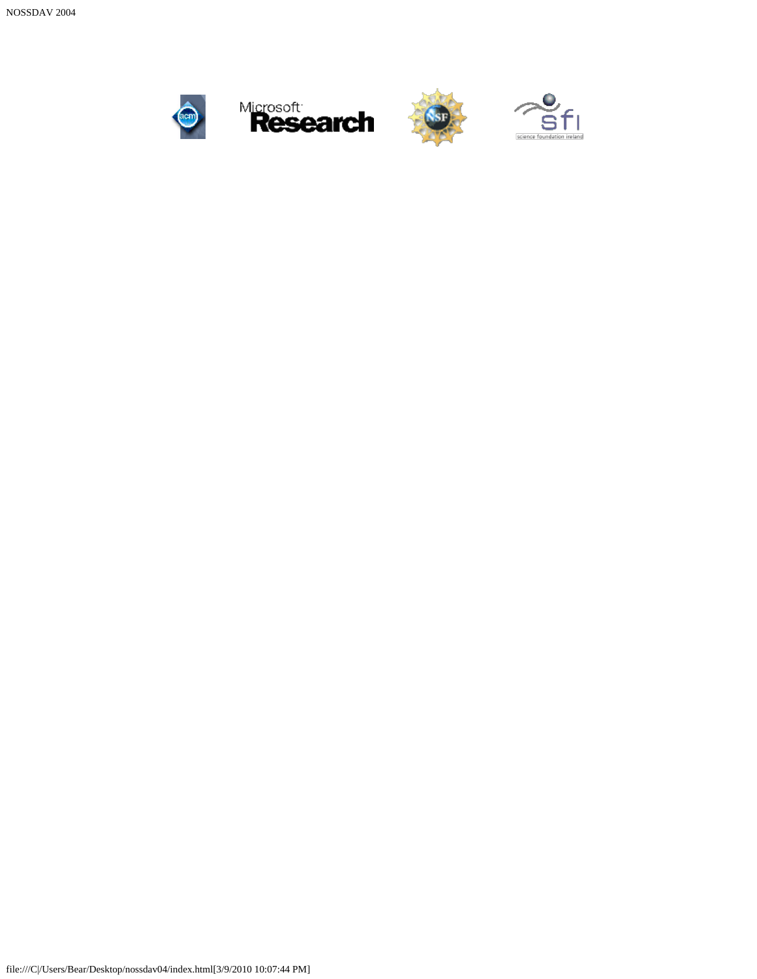



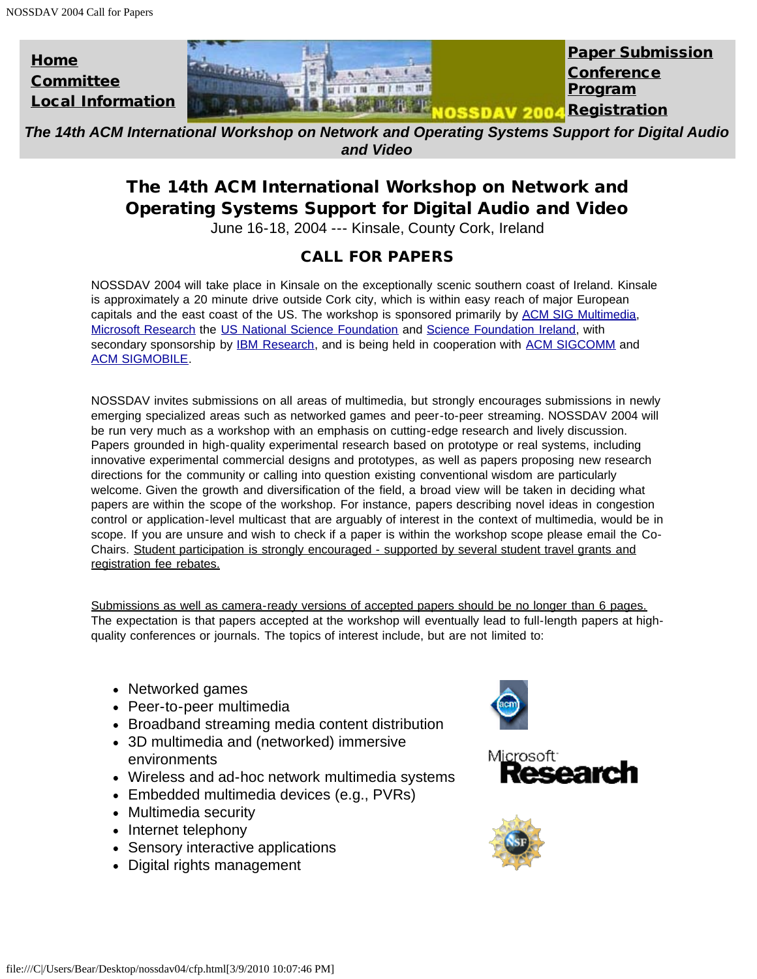<span id="page-2-0"></span>**[Home](#page-0-0) [Committee](#page-4-0)** [Local Information](#page-5-0)



[Paper Submission](#page-8-0) **[Conference](#page-10-0)** [Program](#page-10-0)

*The 14th ACM International Workshop on Network and Operating Systems Support for Digital Audio and Video*

# The 14th ACM International Workshop on Network and Operating Systems Support for Digital Audio and Video

June 16-18, 2004 --- Kinsale, County Cork, Ireland

## CALL FOR PAPERS

NOSSDAV 2004 will take place in Kinsale on the exceptionally scenic southern coast of Ireland. Kinsale is approximately a 20 minute drive outside Cork city, which is within easy reach of major European capitals and the east coast of the US. The workshop is sponsored primarily by [ACM SIG Multimedia,](javascript:if(confirm() [Microsoft Research](javascript:if(confirm() the [US National Science Foundation](javascript:if(confirm() and [Science Foundation Ireland](javascript:if(confirm(), with secondary sponsorship by [IBM Research,](javascript:if(confirm() and is being held in cooperation with [ACM SIGCOMM](javascript:if(confirm() and [ACM SIGMOBILE.](javascript:if(confirm()

NOSSDAV invites submissions on all areas of multimedia, but strongly encourages submissions in newly emerging specialized areas such as networked games and peer-to-peer streaming. NOSSDAV 2004 will be run very much as a workshop with an emphasis on cutting-edge research and lively discussion. Papers grounded in high-quality experimental research based on prototype or real systems, including innovative experimental commercial designs and prototypes, as well as papers proposing new research directions for the community or calling into question existing conventional wisdom are particularly welcome. Given the growth and diversification of the field, a broad view will be taken in deciding what papers are within the scope of the workshop. For instance, papers describing novel ideas in congestion control or application-level multicast that are arguably of interest in the context of multimedia, would be in scope. If you are unsure and wish to check if a paper is within the workshop scope please email the Co-Chairs. Student participation is strongly encouraged - supported by several student travel grants and registration fee rebates.

Submissions as well as camera-ready versions of accepted papers should be no longer than 6 pages. The expectation is that papers accepted at the workshop will eventually lead to full-length papers at highquality conferences or journals. The topics of interest include, but are not limited to:

- Networked games
- Peer-to-peer multimedia
- Broadband streaming media content distribution
- 3D multimedia and (networked) immersive environments
- Wireless and ad-hoc network multimedia systems
- Embedded multimedia devices (e.g., PVRs)
- Multimedia security
- Internet telephony
- Sensory interactive applications
- Digital rights management





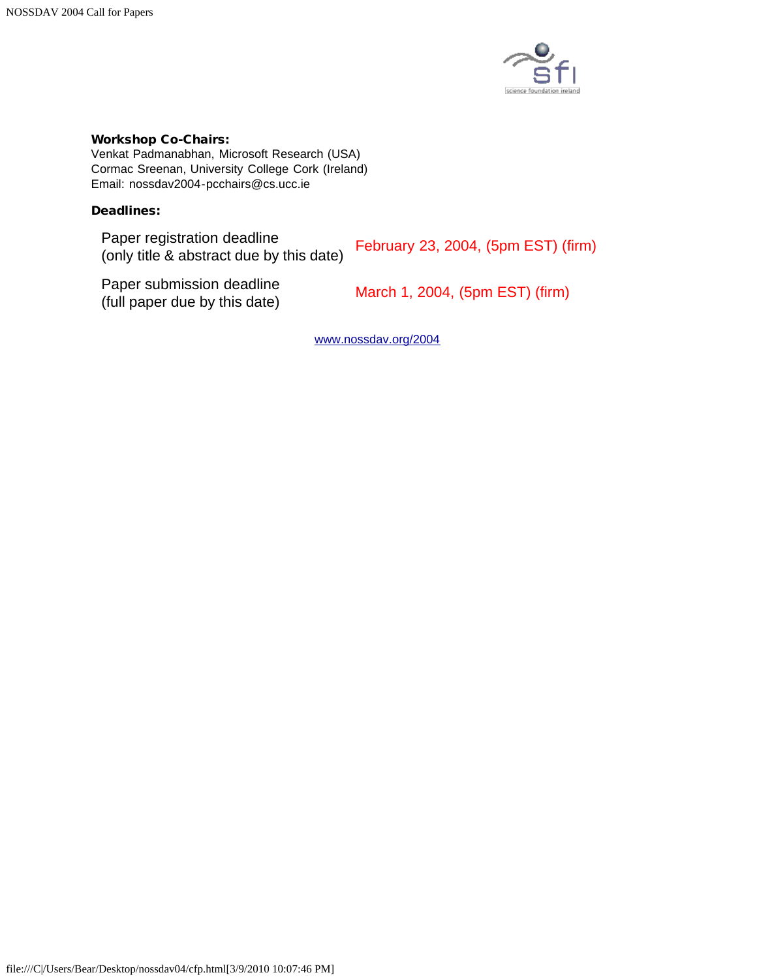

Workshop Co-Chairs: Venkat Padmanabhan, Microsoft Research (USA) Cormac Sreenan, University College Cork (Ireland) Email: nossdav2004-pcchairs@cs.ucc.ie

#### Deadlines:

Paper registration deadline (only title & abstract due by this date) February 23, 2004, (5pm EST) (firm)

Paper submission deadline Paper submission deadline<br>
(full paper due by this date) March 1, 2004, (5pm EST) (firm)

[www.nossdav.org/2004](javascript:if(confirm()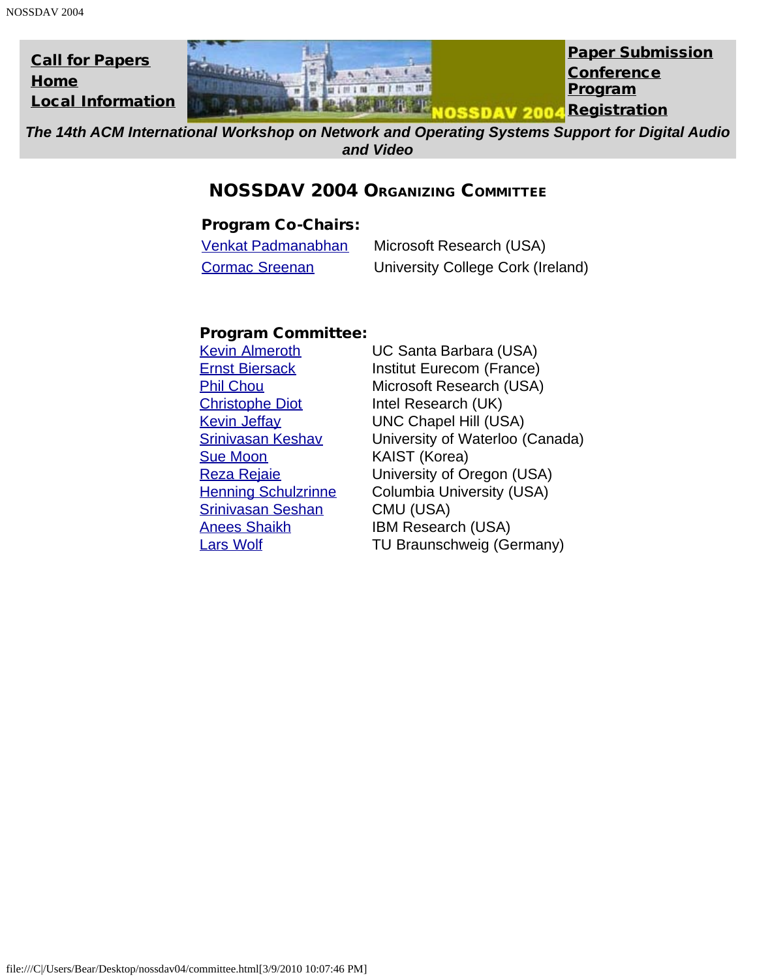**[Home](#page-0-0)** 

<span id="page-4-0"></span>

[Paper Submission](#page-8-0) **[Conference](#page-10-0)** [Program](#page-10-0) **NOSSDAV 2004 [Registration](#page-16-0)** 

*The 14th ACM International Workshop on Network and Operating Systems Support for Digital Audio and Video*

## NOSSDAV 2004 ORGANIZING COMMITTEE

### Program Co-Chairs:

| <b>Venkat Padmanabhan</b> | Microsoft Research (USA)          |
|---------------------------|-----------------------------------|
| <b>Cormac Sreenan</b>     | University College Cork (Ireland) |

### Program Committee:

[Christophe Diot](javascript:if(confirm() Intel Research (UK) [Sue Moon](javascript:if(confirm() KAIST (Korea) [Srinivasan Seshan](javascript:if(confirm() CMU (USA)

[Kevin Almeroth](javascript:if(confirm() UC Santa Barbara (USA) **[Ernst Biersack](javascript:if(confirm() Institut Eurecom (France)** [Phil Chou](javascript:if(confirm() Microsoft Research (USA) [Kevin Jeffay](javascript:if(confirm() **UNC Chapel Hill (USA)** [Srinivasan Keshav](javascript:if(confirm() University of Waterloo (Canada) [Reza Rejaie](javascript:if(confirm() **University of Oregon (USA)** [Henning Schulzrinne](javascript:if(confirm() Columbia University (USA) [Anees Shaikh](javascript:if(confirm() **IBM Research (USA)** [Lars Wolf](javascript:if(confirm() **TU Braunschweig (Germany)**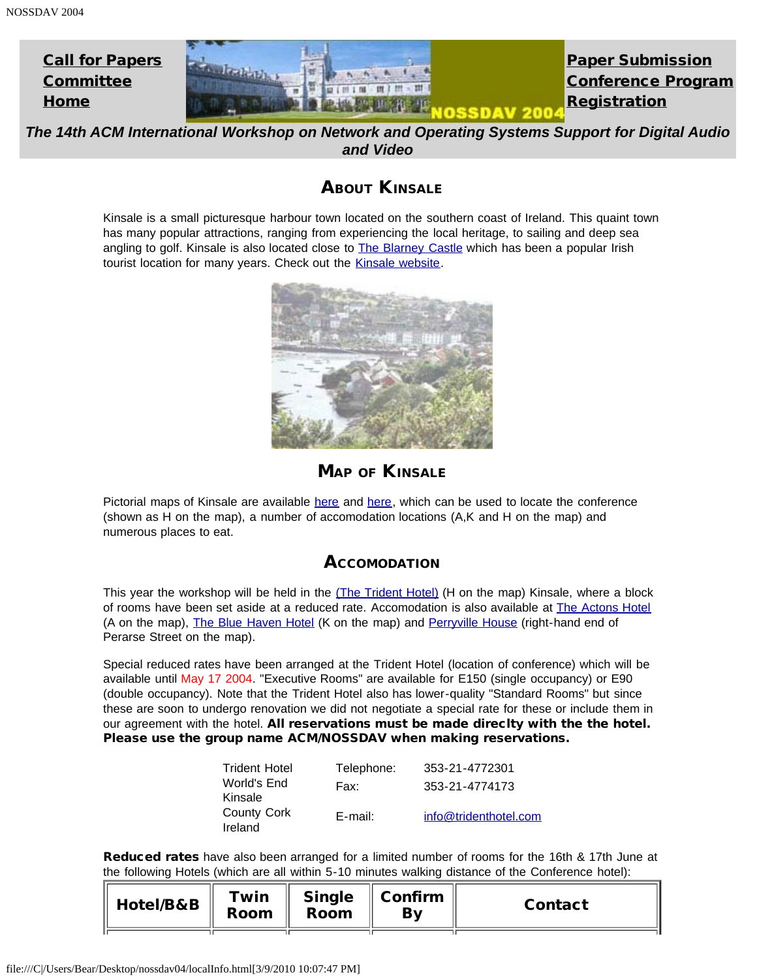<span id="page-5-0"></span>

# **ABOUT KINSALE**

Kinsale is a small picturesque harbour town located on the southern coast of Ireland. This quaint town has many popular attractions, ranging from experiencing the local heritage, to sailing and deep sea angling to golf. Kinsale is also located close to **[The Blarney Castle](javascript:if(confirm() which has been a popular Irish** tourist location for many years. Check out the [Kinsale website.](javascript:if(confirm()



**MAP OF KINSALE** 

Pictorial maps of Kinsale are available [here](javascript:if(confirm() and [here](javascript:if(confirm(), which can be used to locate the conference (shown as H on the map), a number of accomodation locations (A,K and H on the map) and numerous places to eat.

### **ACCOMODATION**

This year the workshop will be held in the [\(The Trident Hotel\)](javascript:if(confirm() (H on the map) Kinsale, where a block of rooms have been set aside at a reduced rate. Accomodation is also available at [The Actons Hotel](javascript:if(confirm() (A on the map), [The Blue Haven Hotel](javascript:if(confirm() (K on the map) and [Perryville House](javascript:if(confirm() (right-hand end of Perarse Street on the map).

Special reduced rates have been arranged at the Trident Hotel (location of conference) which will be available until May 17 2004. "Executive Rooms" are available for E150 (single occupancy) or E90 (double occupancy). Note that the Trident Hotel also has lower-quality "Standard Rooms" but since these are soon to undergo renovation we did not negotiate a special rate for these or include them in our agreement with the hotel. All reservations must be made direclty with the the hotel. Please use the group name ACM/NOSSDAV when making reservations.

| <b>Trident Hotel</b> | Telephone: | 353-21-4772301        |
|----------------------|------------|-----------------------|
| World's End          | Fax:       | 353-21-4774173        |
| Kinsale              |            |                       |
| <b>County Cork</b>   | E-mail:    | info@tridenthotel.com |
| Ireland              |            |                       |

Reduced rates have also been arranged for a limited number of rooms for the 16th & 17th June at the following Hotels (which are all within 5-10 minutes walking distance of the Conference hotel):

| $\parallel$ Hotel/B&B | Гwin<br>Room | Room | Single $\parallel$ Confirm<br>Bv | <b>Contact</b> |
|-----------------------|--------------|------|----------------------------------|----------------|
|                       |              |      |                                  |                |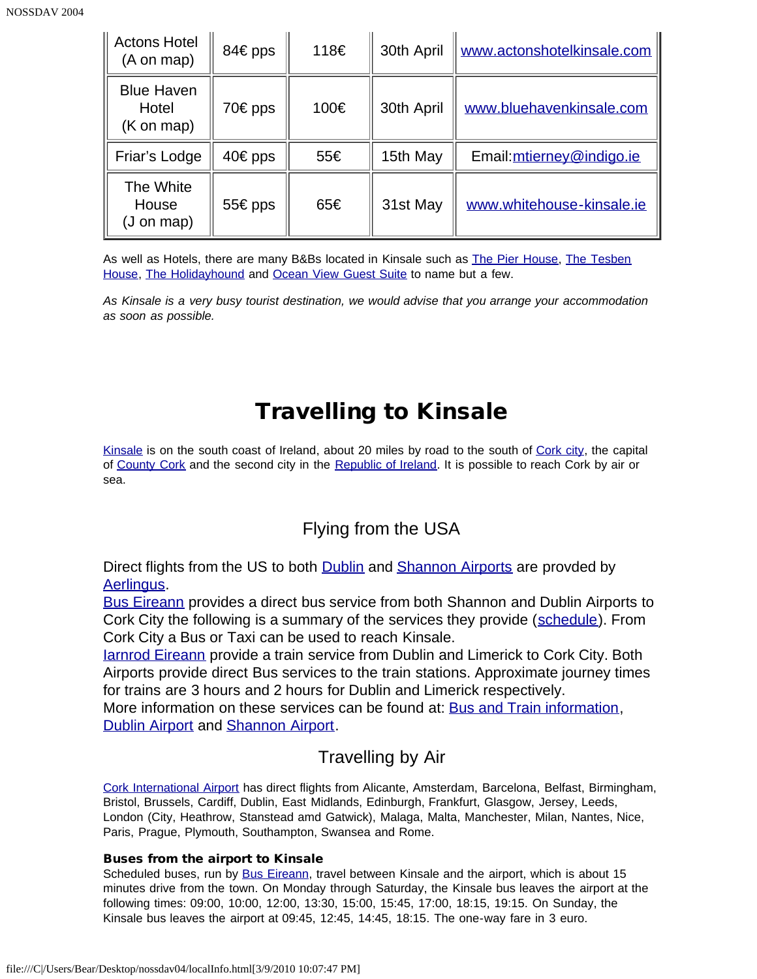| <b>Actons Hotel</b><br>(A on map)        | 84€ pps   | 118€ | 30th April | www.actonshotelkinsale.com |
|------------------------------------------|-----------|------|------------|----------------------------|
| <b>Blue Haven</b><br>Hotel<br>(K on map) | 70€ pps   | 100€ | 30th April | www.bluehavenkinsale.com   |
| Friar's Lodge                            | $40€$ pps | 55€  | 15th May   | Email: mtierney@indigo.ie  |
| The White<br>House<br>(J on map)         | 55€ pps   | 65€  | 31st May   | www.whitehouse-kinsale.ie  |

As well as Hotels, there are many B&Bs located in Kinsale such as **The Pier House**, [The Tesben](javascript:if(confirm() [House,](javascript:if(confirm() [The Holidayhound](javascript:if(confirm() and [Ocean View Guest Suite](javascript:if(confirm() to name but a few.

*As Kinsale is a very busy tourist destination, we would advise that you arrange your accommodation as soon as possible.*

# Travelling to Kinsale

[Kinsale](javascript:if(confirm() is on the south coast of Ireland, about 20 miles by road to the south of [Cork city,](javascript:if(confirm() the capital of [County Cork](javascript:if(confirm() and the second city in the [Republic of Ireland.](javascript:if(confirm() It is possible to reach Cork by air or sea.

# Flying from the USA

Direct flights from the US to both **Dublin** and **Shannon Airports** are provded by [Aerlingus.](javascript:if(confirm()

**[Bus Eireann](javascript:if(confirm() provides a direct bus service from both Shannon and Dublin Airports to** Cork City the following is a summary of the services they provide ([schedule](javascript:if(confirm()). From Cork City a Bus or Taxi can be used to reach Kinsale.

[Iarnrod Eireann](javascript:if(confirm() provide a train service from Dublin and Limerick to Cork City. Both Airports provide direct Bus services to the train stations. Approximate journey times for trains are 3 hours and 2 hours for Dublin and Limerick respectively.

More information on these services can be found at: [Bus and Train information](javascript:if(confirm(), [Dublin Airport](javascript:if(confirm() and [Shannon Airport](javascript:if(confirm().

# Travelling by Air

[Cork International Airport](javascript:if(confirm() has direct flights from Alicante, Amsterdam, Barcelona, Belfast, Birmingham, Bristol, Brussels, Cardiff, Dublin, East Midlands, Edinburgh, Frankfurt, Glasgow, Jersey, Leeds, London (City, Heathrow, Stanstead amd Gatwick), Malaga, Malta, Manchester, Milan, Nantes, Nice, Paris, Prague, Plymouth, Southampton, Swansea and Rome.

#### Buses from the airport to Kinsale

Scheduled buses, run by [Bus Eireann](javascript:if(confirm(), travel between Kinsale and the airport, which is about 15 minutes drive from the town. On Monday through Saturday, the Kinsale bus leaves the airport at the following times: 09:00, 10:00, 12:00, 13:30, 15:00, 15:45, 17:00, 18:15, 19:15. On Sunday, the Kinsale bus leaves the airport at 09:45, 12:45, 14:45, 18:15. The one-way fare in 3 euro.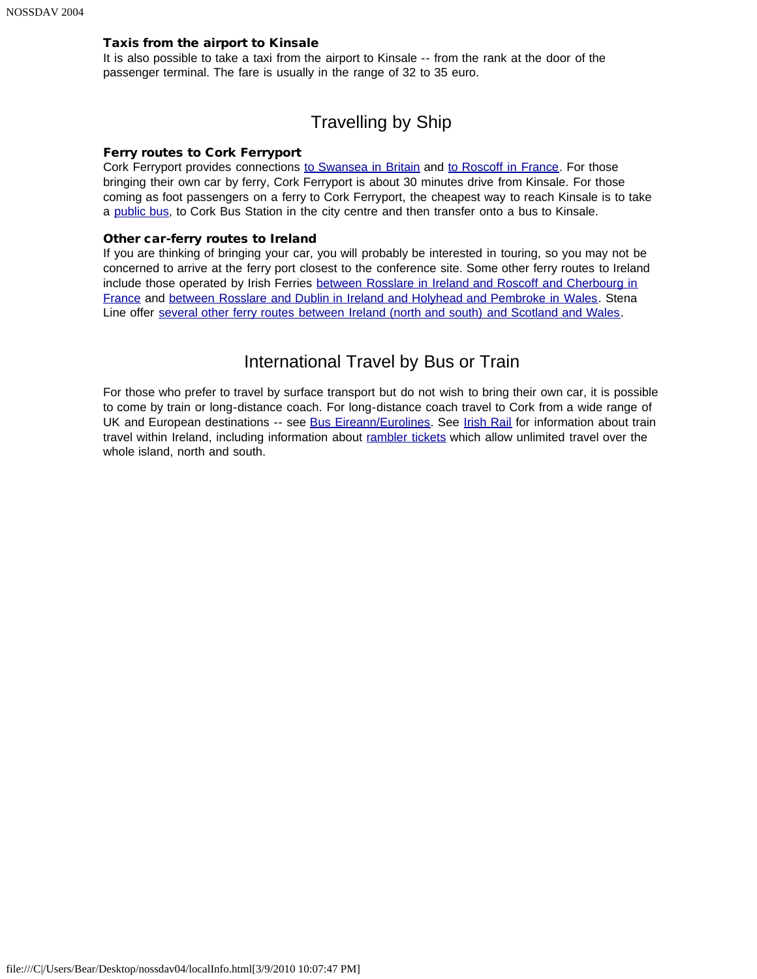#### Taxis from the airport to Kinsale

It is also possible to take a taxi from the airport to Kinsale -- from the rank at the door of the passenger terminal. The fare is usually in the range of 32 to 35 euro.

# Travelling by Ship

#### Ferry routes to Cork Ferryport

Cork Ferryport provides connections [to Swansea in Britain](javascript:if(confirm() and [to Roscoff in France.](javascript:if(confirm() For those bringing their own car by ferry, Cork Ferryport is about 30 minutes drive from Kinsale. For those coming as foot passengers on a ferry to Cork Ferryport, the cheapest way to reach Kinsale is to take a [public bus,](javascript:if(confirm() to Cork Bus Station in the city centre and then transfer onto a bus to Kinsale.

#### Other car-ferry routes to Ireland

If you are thinking of bringing your car, you will probably be interested in touring, so you may not be concerned to arrive at the ferry port closest to the conference site. Some other ferry routes to Ireland include those operated by Irish Ferries [between Rosslare in Ireland and Roscoff and Cherbourg in](javascript:if(confirm() [France](javascript:if(confirm() and [between Rosslare and Dublin in Ireland and Holyhead and Pembroke in Wales](javascript:if(confirm(). Stena Line offer [several other ferry routes between Ireland \(north and south\) and Scotland and Wales.](javascript:if(confirm()

## International Travel by Bus or Train

For those who prefer to travel by surface transport but do not wish to bring their own car, it is possible to come by train or long-distance coach. For long-distance coach travel to Cork from a wide range of UK and European destinations -- see [Bus Eireann/Eurolines.](javascript:if(confirm() See [Irish Rail](javascript:if(confirm() for information about train travel within Ireland, including information about [rambler tickets](javascript:if(confirm() which allow unlimited travel over the whole island, north and south.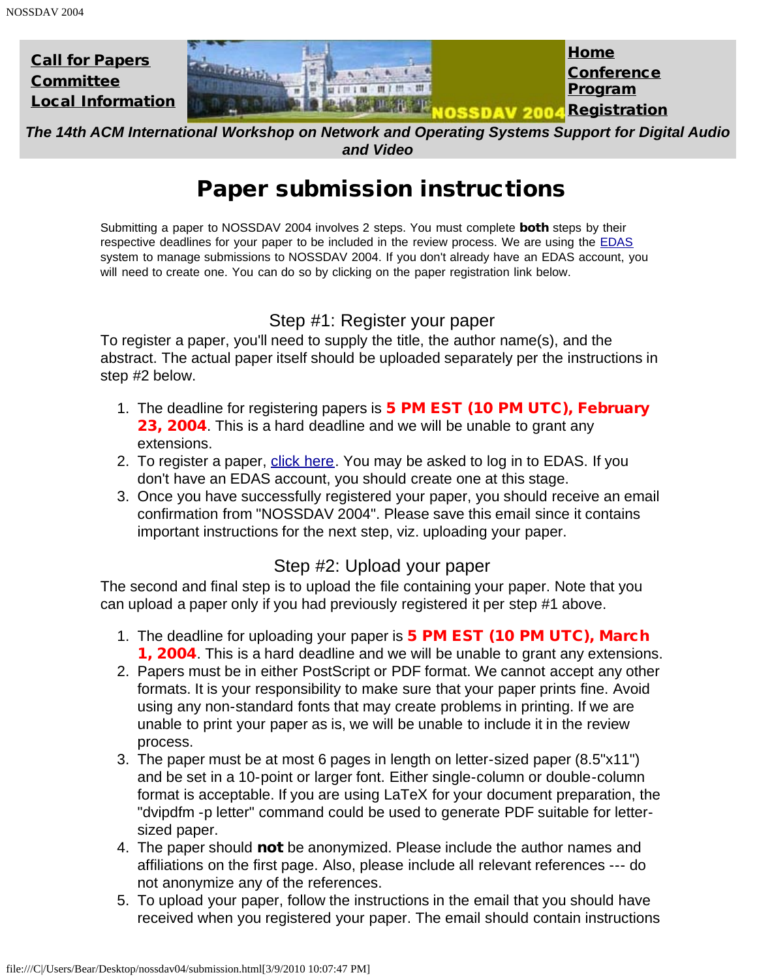<span id="page-8-0"></span>

# Paper submission instructions

Submitting a paper to NOSSDAV 2004 involves 2 steps. You must complete **both** steps by their respective deadlines for your paper to be included in the review process. We are using the **[EDAS](javascript:if(confirm()** system to manage submissions to NOSSDAV 2004. If you don't already have an EDAS account, you will need to create one. You can do so by clicking on the paper registration link below.

# Step #1: Register your paper

To register a paper, you'll need to supply the title, the author name(s), and the abstract. The actual paper itself should be uploaded separately per the instructions in step #2 below.

- 1. The deadline for registering papers is 5 PM EST (10 PM UTC), February 23, 2004. This is a hard deadline and we will be unable to grant any extensions.
- 2. To register a paper, [click here](javascript:if(confirm(). You may be asked to log in to EDAS. If you don't have an EDAS account, you should create one at this stage.
- 3. Once you have successfully registered your paper, you should receive an email confirmation from "NOSSDAV 2004". Please save this email since it contains important instructions for the next step, viz. uploading your paper.

# Step #2: Upload your paper

The second and final step is to upload the file containing your paper. Note that you can upload a paper only if you had previously registered it per step #1 above.

- 1. The deadline for uploading your paper is 5 PM EST (10 PM UTC), March **1, 2004.** This is a hard deadline and we will be unable to grant any extensions.
- 2. Papers must be in either PostScript or PDF format. We cannot accept any other formats. It is your responsibility to make sure that your paper prints fine. Avoid using any non-standard fonts that may create problems in printing. If we are unable to print your paper as is, we will be unable to include it in the review process.
- 3. The paper must be at most 6 pages in length on letter-sized paper (8.5"x11") and be set in a 10-point or larger font. Either single-column or double-column format is acceptable. If you are using LaTeX for your document preparation, the "dvipdfm -p letter" command could be used to generate PDF suitable for lettersized paper.
- 4. The paper should not be anonymized. Please include the author names and affiliations on the first page. Also, please include all relevant references --- do not anonymize any of the references.
- 5. To upload your paper, follow the instructions in the email that you should have received when you registered your paper. The email should contain instructions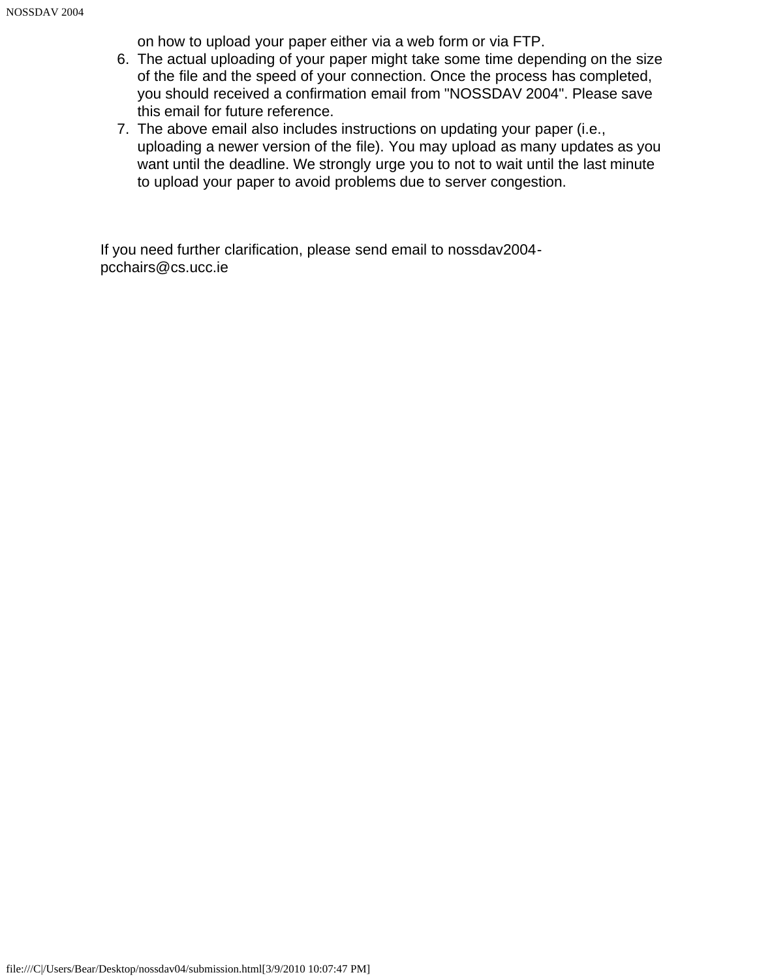on how to upload your paper either via a web form or via FTP.

- 6. The actual uploading of your paper might take some time depending on the size of the file and the speed of your connection. Once the process has completed, you should received a confirmation email from "NOSSDAV 2004". Please save this email for future reference.
- 7. The above email also includes instructions on updating your paper (i.e., uploading a newer version of the file). You may upload as many updates as you want until the deadline. We strongly urge you to not to wait until the last minute to upload your paper to avoid problems due to server congestion.

If you need further clarification, please send email to nossdav2004 pcchairs@cs.ucc.ie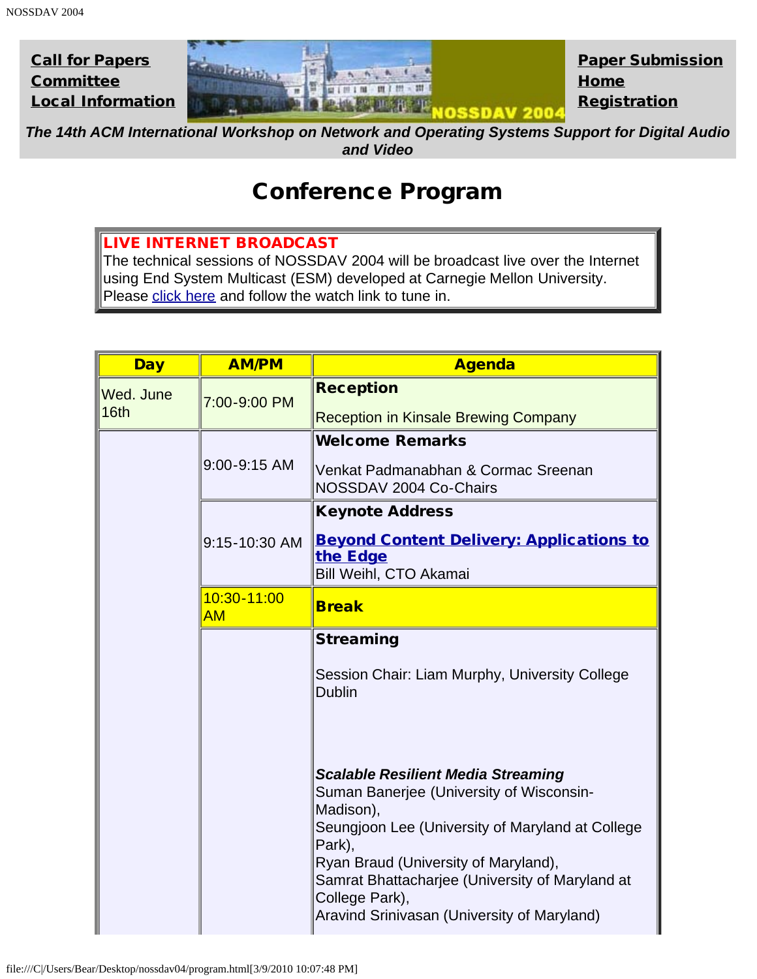<span id="page-10-0"></span>

# Conference Program

LIVE INTERNET BROADCAST

The technical sessions of NOSSDAV 2004 will be broadcast live over the Internet using End System Multicast (ESM) developed at Carnegie Mellon University. Please [click here](javascript:if(confirm() and follow the watch link to tune in.

| <b>Day</b> | <b>AM/PM</b>      | <b>Agenda</b>                                                                                                                                                                                                                                                                                                                |  |
|------------|-------------------|------------------------------------------------------------------------------------------------------------------------------------------------------------------------------------------------------------------------------------------------------------------------------------------------------------------------------|--|
| Wed. June  | 7:00-9:00 PM      | <b>Reception</b>                                                                                                                                                                                                                                                                                                             |  |
| 16th       |                   | <b>Reception in Kinsale Brewing Company</b>                                                                                                                                                                                                                                                                                  |  |
|            |                   | <b>Welcome Remarks</b>                                                                                                                                                                                                                                                                                                       |  |
|            | 9:00-9:15 AM      | Venkat Padmanabhan & Cormac Sreenan<br>NOSSDAV 2004 Co-Chairs                                                                                                                                                                                                                                                                |  |
|            |                   | <b>Keynote Address</b>                                                                                                                                                                                                                                                                                                       |  |
|            | 9:15-10:30 AM     | <b>Beyond Content Delivery: Applications to</b><br>the Edge<br>Bill Weihl, CTO Akamai                                                                                                                                                                                                                                        |  |
|            | 10:30-11:00<br>AM | <b>Break</b>                                                                                                                                                                                                                                                                                                                 |  |
|            |                   | <b>Streaming</b>                                                                                                                                                                                                                                                                                                             |  |
|            |                   | Session Chair: Liam Murphy, University College<br><b>Dublin</b>                                                                                                                                                                                                                                                              |  |
|            |                   | <b>Scalable Resilient Media Streaming</b><br>Suman Banerjee (University of Wisconsin-<br>Madison),<br>Seungjoon Lee (University of Maryland at College<br>Park),<br>Ryan Braud (University of Maryland),<br>Samrat Bhattacharjee (University of Maryland at<br>College Park),<br>Aravind Srinivasan (University of Maryland) |  |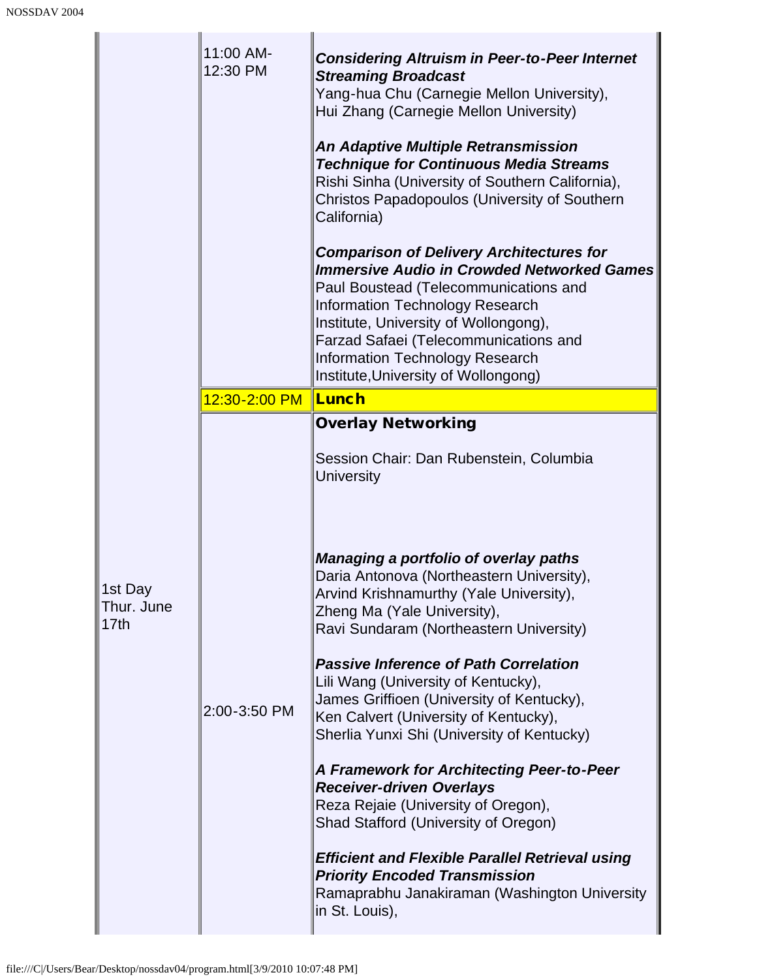|                                           | 11:00 AM-<br>12:30 PM<br>12:30-2:00 PM | <b>Considering Altruism in Peer-to-Peer Internet</b><br><b>Streaming Broadcast</b><br>Yang-hua Chu (Carnegie Mellon University),<br>Hui Zhang (Carnegie Mellon University)<br><b>An Adaptive Multiple Retransmission</b><br><b>Technique for Continuous Media Streams</b><br>Rishi Sinha (University of Southern California),<br><b>Christos Papadopoulos (University of Southern</b><br>California)<br><b>Comparison of Delivery Architectures for</b><br><b>Immersive Audio in Crowded Networked Games</b><br>Paul Boustead (Telecommunications and<br><b>Information Technology Research</b><br>Institute, University of Wollongong),<br>Farzad Safaei (Telecommunications and<br><b>Information Technology Research</b><br>Institute, University of Wollongong)<br>Lunch                                                                                               |
|-------------------------------------------|----------------------------------------|----------------------------------------------------------------------------------------------------------------------------------------------------------------------------------------------------------------------------------------------------------------------------------------------------------------------------------------------------------------------------------------------------------------------------------------------------------------------------------------------------------------------------------------------------------------------------------------------------------------------------------------------------------------------------------------------------------------------------------------------------------------------------------------------------------------------------------------------------------------------------|
| 1st Day<br>Thur. June<br>17 <sub>th</sub> | 2:00-3:50 PM                           | <b>Overlay Networking</b><br>Session Chair: Dan Rubenstein, Columbia<br><b>University</b><br><b>Managing a portfolio of overlay paths</b><br>Daria Antonova (Northeastern University),<br>Arvind Krishnamurthy (Yale University),<br>Zheng Ma (Yale University),<br>Ravi Sundaram (Northeastern University)<br><b>Passive Inference of Path Correlation</b><br>Lili Wang (University of Kentucky),<br>James Griffioen (University of Kentucky),<br>Ken Calvert (University of Kentucky),<br>Sherlia Yunxi Shi (University of Kentucky)<br>A Framework for Architecting Peer-to-Peer<br><b>Receiver-driven Overlays</b><br>Reza Rejaie (University of Oregon),<br>Shad Stafford (University of Oregon)<br><b>Efficient and Flexible Parallel Retrieval using</b><br><b>Priority Encoded Transmission</b><br>Ramaprabhu Janakiraman (Washington University<br>in St. Louis), |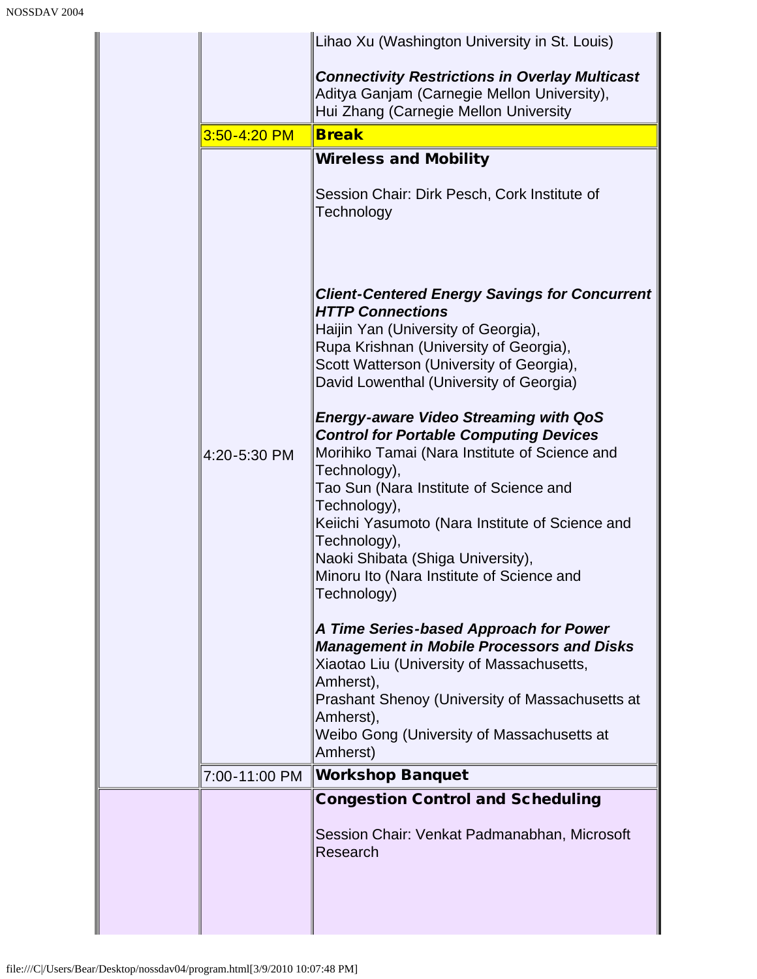|               | Lihao Xu (Washington University in St. Louis)                                                                                                                                                                                                                                                                                                                                                                                                                                                                                                                                                                                                                                                                                                                                                                                                                                                                                                                                                                                                  |  |
|---------------|------------------------------------------------------------------------------------------------------------------------------------------------------------------------------------------------------------------------------------------------------------------------------------------------------------------------------------------------------------------------------------------------------------------------------------------------------------------------------------------------------------------------------------------------------------------------------------------------------------------------------------------------------------------------------------------------------------------------------------------------------------------------------------------------------------------------------------------------------------------------------------------------------------------------------------------------------------------------------------------------------------------------------------------------|--|
|               | <b>Connectivity Restrictions in Overlay Multicast</b><br>Aditya Ganjam (Carnegie Mellon University),<br>Hui Zhang (Carnegie Mellon University                                                                                                                                                                                                                                                                                                                                                                                                                                                                                                                                                                                                                                                                                                                                                                                                                                                                                                  |  |
| 3:50-4:20 PM  | <b>Break</b>                                                                                                                                                                                                                                                                                                                                                                                                                                                                                                                                                                                                                                                                                                                                                                                                                                                                                                                                                                                                                                   |  |
| 4:20-5:30 PM  | <b>Wireless and Mobility</b><br>Session Chair: Dirk Pesch, Cork Institute of<br>Technology<br><b>Client-Centered Energy Savings for Concurrent</b><br><b>HTTP Connections</b><br>Haijin Yan (University of Georgia),<br>Rupa Krishnan (University of Georgia),<br>Scott Watterson (University of Georgia),<br>David Lowenthal (University of Georgia)<br><b>Energy-aware Video Streaming with QoS</b><br><b>Control for Portable Computing Devices</b><br>Morihiko Tamai (Nara Institute of Science and<br>Technology),<br>Tao Sun (Nara Institute of Science and<br>Technology),<br>Keiichi Yasumoto (Nara Institute of Science and<br>Technology),<br>Naoki Shibata (Shiga University),<br>Minoru Ito (Nara Institute of Science and<br>Technology)<br>A Time Series-based Approach for Power<br><b>Management in Mobile Processors and Disks</b><br>Xiaotao Liu (University of Massachusetts,<br>Amherst),<br><b>Prashant Shenoy (University of Massachusetts at</b><br>Amherst),<br>Weibo Gong (University of Massachusetts at<br>Amherst) |  |
| 7:00-11:00 PM | <b>Workshop Banquet</b>                                                                                                                                                                                                                                                                                                                                                                                                                                                                                                                                                                                                                                                                                                                                                                                                                                                                                                                                                                                                                        |  |
|               | <b>Congestion Control and Scheduling</b><br>Session Chair: Venkat Padmanabhan, Microsoft<br>Research                                                                                                                                                                                                                                                                                                                                                                                                                                                                                                                                                                                                                                                                                                                                                                                                                                                                                                                                           |  |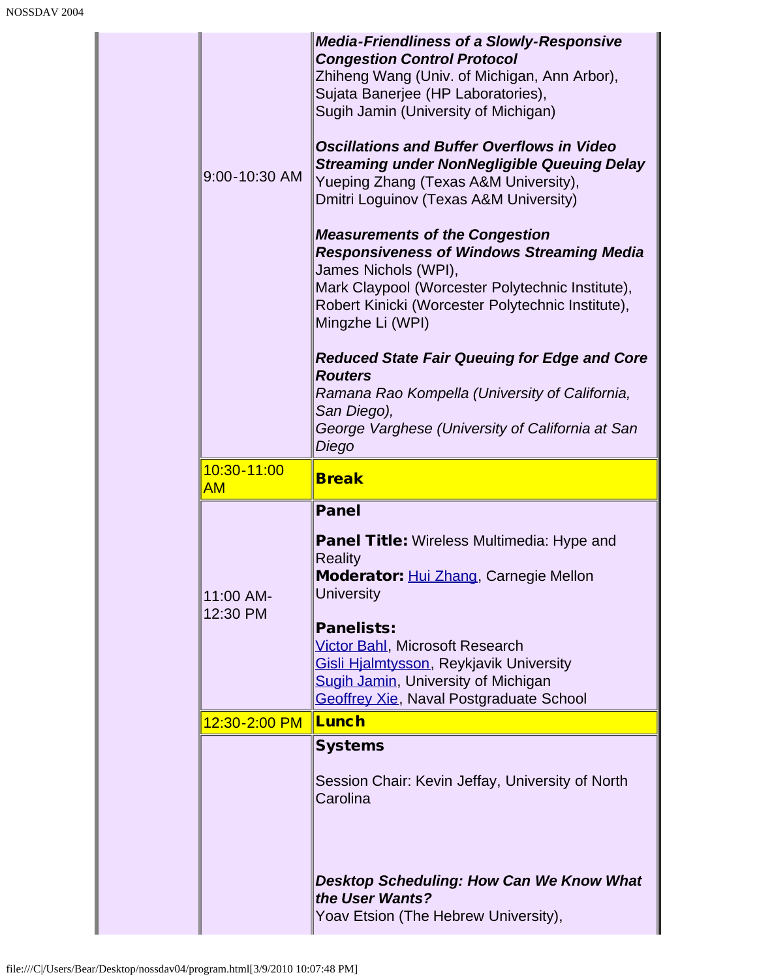| 9:00-10:30 AM         | <b>Media-Friendliness of a Slowly-Responsive</b><br><b>Congestion Control Protocol</b><br>Zhiheng Wang (Univ. of Michigan, Ann Arbor),<br>Sujata Banerjee (HP Laboratories),<br>Sugih Jamin (University of Michigan)<br><b>Oscillations and Buffer Overflows in Video</b><br><b>Streaming under NonNegligible Queuing Delay</b><br>Yueping Zhang (Texas A&M University),<br>Dmitri Loguinov (Texas A&M University)<br><b>Measurements of the Congestion</b><br><b>Responsiveness of Windows Streaming Media</b><br>James Nichols (WPI),<br>Mark Claypool (Worcester Polytechnic Institute),<br>Robert Kinicki (Worcester Polytechnic Institute),<br>Mingzhe Li (WPI)<br><b>Reduced State Fair Queuing for Edge and Core</b><br><b>Routers</b><br>Ramana Rao Kompella (University of California,<br>San Diego),<br>George Varghese (University of California at San<br>Diego |
|-----------------------|-----------------------------------------------------------------------------------------------------------------------------------------------------------------------------------------------------------------------------------------------------------------------------------------------------------------------------------------------------------------------------------------------------------------------------------------------------------------------------------------------------------------------------------------------------------------------------------------------------------------------------------------------------------------------------------------------------------------------------------------------------------------------------------------------------------------------------------------------------------------------------|
| 10:30-11:00<br>AM     | <b>Break</b>                                                                                                                                                                                                                                                                                                                                                                                                                                                                                                                                                                                                                                                                                                                                                                                                                                                                |
| 11:00 AM-<br>12:30 PM | <b>Panel</b><br><b>Panel Title:</b> Wireless Multimedia: Hype and<br><b>Reality</b><br>Moderator: Hui Zhang, Carnegie Mellon<br><b>University</b><br><b>Panelists:</b><br><b>Victor Bahl</b> , Microsoft Research<br>Gisli Hjalmtysson, Reykjavik University<br>Sugih Jamin, University of Michigan<br><b>Geoffrey Xie, Naval Postgraduate School</b>                                                                                                                                                                                                                                                                                                                                                                                                                                                                                                                       |
| 12:30-2:00 PM         | Lunch                                                                                                                                                                                                                                                                                                                                                                                                                                                                                                                                                                                                                                                                                                                                                                                                                                                                       |
|                       | <b>Systems</b>                                                                                                                                                                                                                                                                                                                                                                                                                                                                                                                                                                                                                                                                                                                                                                                                                                                              |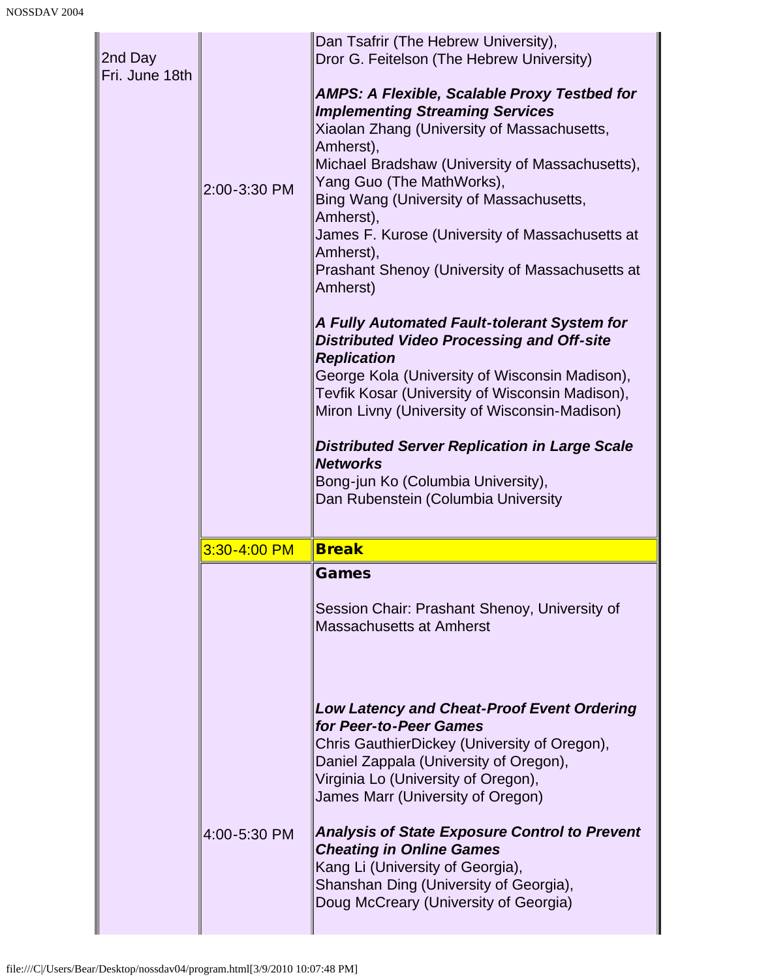| 2nd Day<br>Fri. June 18th | 2:00-3:30 PM | Dan Tsafrir (The Hebrew University),<br>Dror G. Feitelson (The Hebrew University)<br><b>AMPS: A Flexible, Scalable Proxy Testbed for</b><br><b>Implementing Streaming Services</b><br>Xiaolan Zhang (University of Massachusetts,<br>Amherst),<br>Michael Bradshaw (University of Massachusetts),<br>Yang Guo (The MathWorks),<br>Bing Wang (University of Massachusetts,<br>Amherst),<br>James F. Kurose (University of Massachusetts at<br>Amherst),<br>Prashant Shenoy (University of Massachusetts at<br>Amherst)<br>A Fully Automated Fault-tolerant System for<br><b>Distributed Video Processing and Off-site</b><br><b>Replication</b><br>George Kola (University of Wisconsin Madison),<br>Tevfik Kosar (University of Wisconsin Madison),<br>Miron Livny (University of Wisconsin-Madison)<br><b>Distributed Server Replication in Large Scale</b><br><b>Networks</b><br>Bong-jun Ko (Columbia University),<br>Dan Rubenstein (Columbia University |
|---------------------------|--------------|--------------------------------------------------------------------------------------------------------------------------------------------------------------------------------------------------------------------------------------------------------------------------------------------------------------------------------------------------------------------------------------------------------------------------------------------------------------------------------------------------------------------------------------------------------------------------------------------------------------------------------------------------------------------------------------------------------------------------------------------------------------------------------------------------------------------------------------------------------------------------------------------------------------------------------------------------------------|
|                           | 3:30-4:00 PM | <b>Break</b>                                                                                                                                                                                                                                                                                                                                                                                                                                                                                                                                                                                                                                                                                                                                                                                                                                                                                                                                                 |
|                           |              | Games<br>Session Chair: Prashant Shenoy, University of<br><b>Massachusetts at Amherst</b>                                                                                                                                                                                                                                                                                                                                                                                                                                                                                                                                                                                                                                                                                                                                                                                                                                                                    |
|                           |              | <b>Low Latency and Cheat-Proof Event Ordering</b><br>for Peer-to-Peer Games<br>Chris GauthierDickey (University of Oregon),<br>Daniel Zappala (University of Oregon),<br>Virginia Lo (University of Oregon),<br>James Marr (University of Oregon)                                                                                                                                                                                                                                                                                                                                                                                                                                                                                                                                                                                                                                                                                                            |
|                           | 4:00-5:30 PM | <b>Analysis of State Exposure Control to Prevent</b><br><b>Cheating in Online Games</b><br>Kang Li (University of Georgia),<br>Shanshan Ding (University of Georgia),<br>Doug McCreary (University of Georgia)                                                                                                                                                                                                                                                                                                                                                                                                                                                                                                                                                                                                                                                                                                                                               |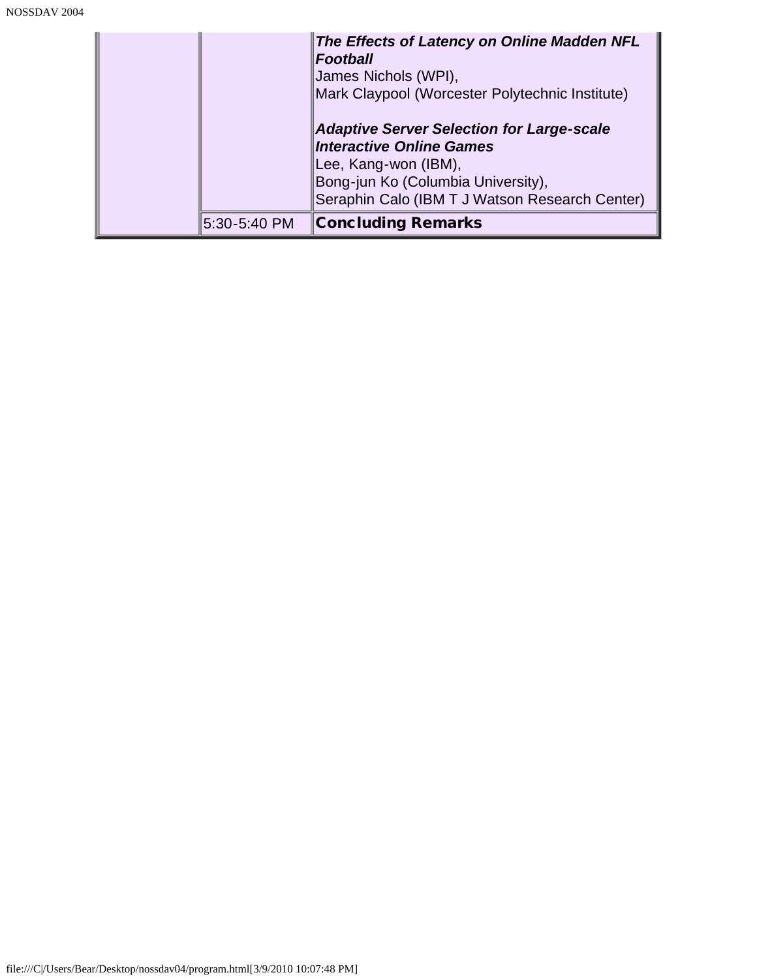|  |              | The Effects of Latency on Online Madden NFL<br><b>Football</b><br>James Nichols (WPI),<br>Mark Claypool (Worcester Polytechnic Institute)                                                           |
|--|--------------|-----------------------------------------------------------------------------------------------------------------------------------------------------------------------------------------------------|
|  |              | <b>Adaptive Server Selection for Large-scale</b><br><b>Interactive Online Games</b><br>Lee, Kang-won (IBM),<br>Bong-jun Ko (Columbia University),<br>Seraphin Calo (IBM T J Watson Research Center) |
|  | 5:30-5:40 PM | <b>Concluding Remarks</b>                                                                                                                                                                           |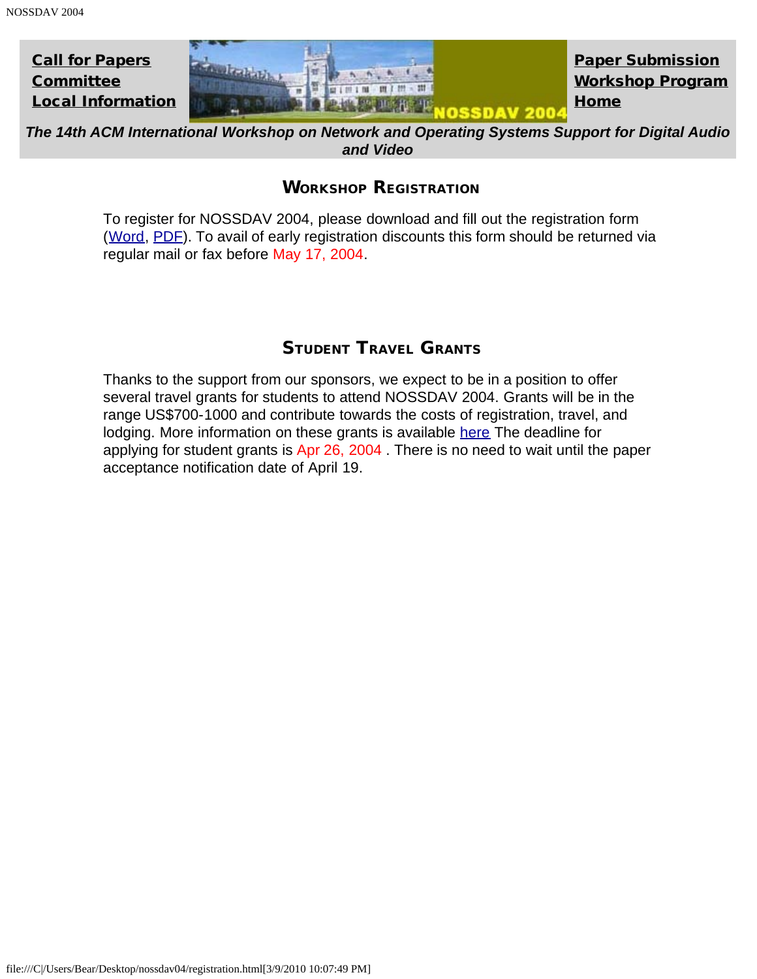<span id="page-16-0"></span>

## WORKSHOP REGISTRATION

To register for NOSSDAV 2004, please download and fill out the registration form ([Word](#page-18-0), [PDF](#page-23-0)). To avail of early registration discounts this form should be returned via regular mail or fax before May 17, 2004.

# STUDENT TRAVEL GRANTS

Thanks to the support from our sponsors, we expect to be in a position to offer several travel grants for students to attend NOSSDAV 2004. Grants will be in the range US\$700-1000 and contribute towards the costs of registration, travel, and lodging. More information on these grants is available [here](#page-25-0) The deadline for applying for student grants is Apr 26, 2004 . There is no need to wait until the paper acceptance notification date of April 19.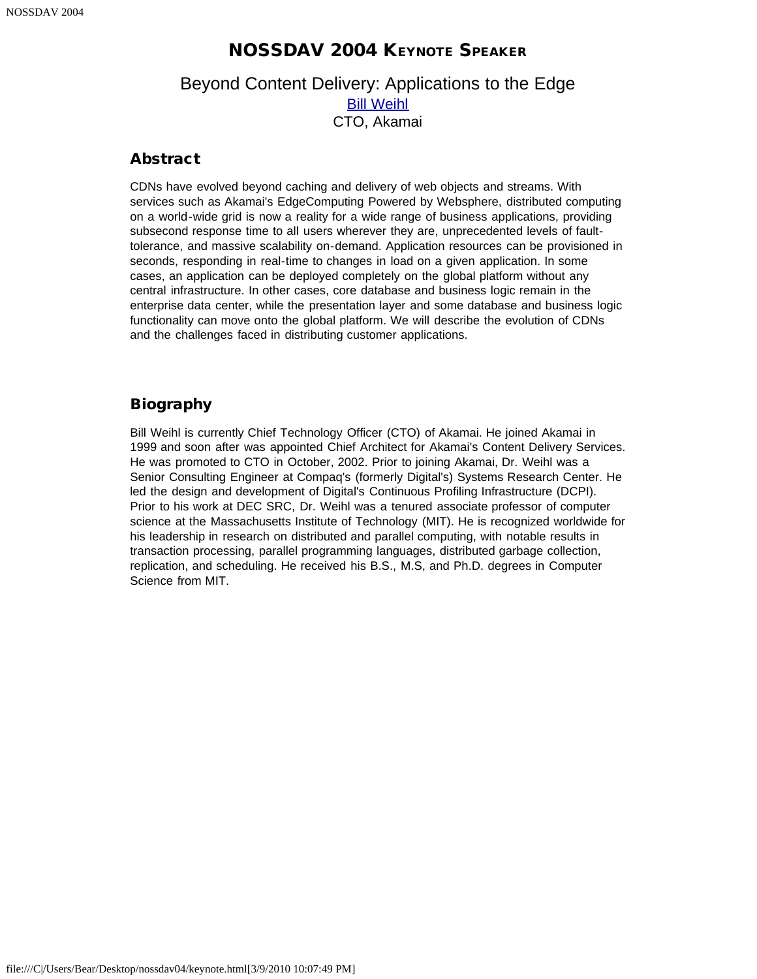## NOSSDAV 2004 KEYNOTE SPEAKER

# <span id="page-17-0"></span>Beyond Content Delivery: Applications to the Edge [Bill Weihl](javascript:if(confirm() CTO, Akamai

### Abstract

CDNs have evolved beyond caching and delivery of web objects and streams. With services such as Akamai's EdgeComputing Powered by Websphere, distributed computing on a world-wide grid is now a reality for a wide range of business applications, providing subsecond response time to all users wherever they are, unprecedented levels of faulttolerance, and massive scalability on-demand. Application resources can be provisioned in seconds, responding in real-time to changes in load on a given application. In some cases, an application can be deployed completely on the global platform without any central infrastructure. In other cases, core database and business logic remain in the enterprise data center, while the presentation layer and some database and business logic functionality can move onto the global platform. We will describe the evolution of CDNs and the challenges faced in distributing customer applications.

### Biography

Bill Weihl is currently Chief Technology Officer (CTO) of Akamai. He joined Akamai in 1999 and soon after was appointed Chief Architect for Akamai's Content Delivery Services. He was promoted to CTO in October, 2002. Prior to joining Akamai, Dr. Weihl was a Senior Consulting Engineer at Compaq's (formerly Digital's) Systems Research Center. He led the design and development of Digital's Continuous Profiling Infrastructure (DCPI). Prior to his work at DEC SRC, Dr. Weihl was a tenured associate professor of computer science at the Massachusetts Institute of Technology (MIT). He is recognized worldwide for his leadership in research on distributed and parallel computing, with notable results in transaction processing, parallel programming languages, distributed garbage collection, replication, and scheduling. He received his B.S., M.S, and Ph.D. degrees in Computer Science from MIT.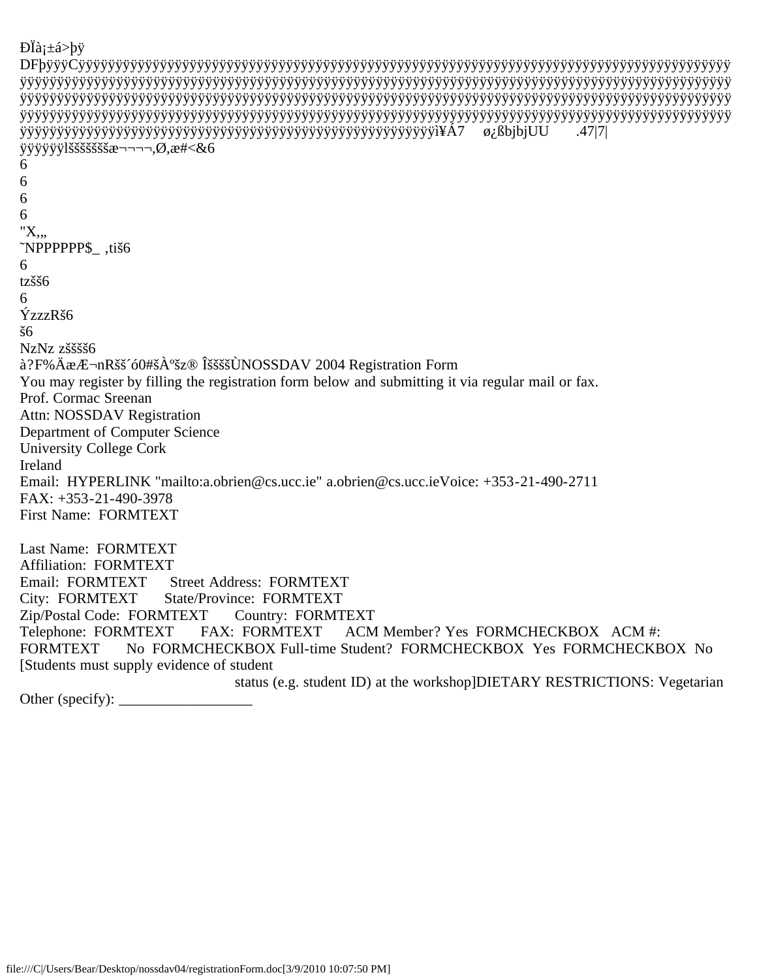```
ĐÏà<sub>i</sub>±á>þÿ
```
DFþÿÿÿCÿÿÿÿÿÿÿÿÿÿÿÿÿÿÿÿÿÿÿÿÿÿÿÿÿÿÿÿÿÿÿÿÿÿÿÿÿÿÿÿÿÿÿÿÿÿÿÿÿÿÿÿÿÿÿÿÿÿÿÿÿÿÿÿÿÿÿÿÿÿÿÿÿÿÿÿÿÿÿÿÿÿÿÿÿÿÿÿ ÿÿÿÿÿÿÿÿÿÿÿÿÿÿÿÿÿÿÿÿÿÿÿÿÿÿÿÿÿÿÿÿÿÿÿÿÿÿÿÿÿÿÿÿÿÿÿÿÿÿÿÿÿÿÿÿÿÿÿÿÿÿÿÿÿÿÿÿÿÿÿÿÿÿÿÿÿÿÿÿÿÿÿÿÿÿÿÿÿÿÿÿÿÿÿÿ ÿÿÿÿÿÿÿÿÿÿÿÿÿÿÿÿÿÿÿÿÿÿÿÿÿÿÿÿÿÿÿÿÿÿÿÿÿÿÿÿÿÿÿÿÿÿÿÿÿÿÿÿÿÿÿÿÿÿÿÿÿÿÿÿÿÿÿÿÿÿÿÿÿÿÿÿÿÿÿÿÿÿÿÿÿÿÿÿÿÿÿÿÿÿÿÿ ÿÿÿÿÿÿÿÿÿÿÿÿÿÿÿÿÿÿÿÿÿÿÿÿÿÿÿÿÿÿÿÿÿÿÿÿÿÿÿÿÿÿÿÿÿÿÿÿÿÿÿÿÿÿÿÿÿÿÿÿÿÿÿÿÿÿÿÿÿÿÿÿÿÿÿÿÿÿÿÿÿÿÿÿÿÿÿÿÿÿÿÿÿÿÿÿ ÿÿÿÿÿÿÿÿÿÿÿÿÿÿÿÿÿÿÿÿÿÿÿÿÿÿÿÿÿÿÿÿÿÿÿÿÿÿÿÿÿÿÿÿÿÿÿÿÿÿÿÿÿÿÿÿì¥Á7 ø¿ßbjbjUU .47|7|  $\ddot{y}$ yy $\ddot{y}$ yy $\ddot{y}$ lššššš $\ddot{x}$  $\ddot{x}$  $\ddot{x}$  $\ddot{y}$  $\ddot{y}$ 6 6 6 6 "X., ~NPPPPPP\$ ,tiš6 6 tzšš6 6 ÝzzzRš6 š6 NzNz zšššš6 à?F%ÄæÆ¬nRšš´ó0#šÀºšz® ΚšššÙNOSSDAV 2004 Registration Form You may register by filling the registration form below and submitting it via regular mail or fax. Prof. Cormac Sreenan Attn: NOSSDAV Registration Department of Computer Science University College Cork Ireland Email: HYPERLINK "mailto:a.obrien@cs.ucc.ie" a.obrien@cs.ucc.ieVoice: +353-21-490-2711 FAX: +353-21-490-3978 First Name: FORMTEXT Last Name: FORMTEXT Affiliation: FORMTEXT Email: FORMTEXT Street Address: FORMTEXT City: FORMTEXT State/Province: FORMTEXT Zip/Postal Code: FORMTEXT Country: FORMTEXT Telephone: FORMTEXT FAX: FORMTEXT ACM Member? Yes FORMCHECKBOX ACM #: FORMTEXT No FORMCHECKBOX Full-time Student? FORMCHECKBOX Yes FORMCHECKBOX No

[Students must supply evidence of student

status (e.g. student ID) at the workshop]DIETARY RESTRICTIONS: Vegetarian

Other (specify): \_\_\_\_\_\_\_\_\_\_\_\_\_\_\_\_\_\_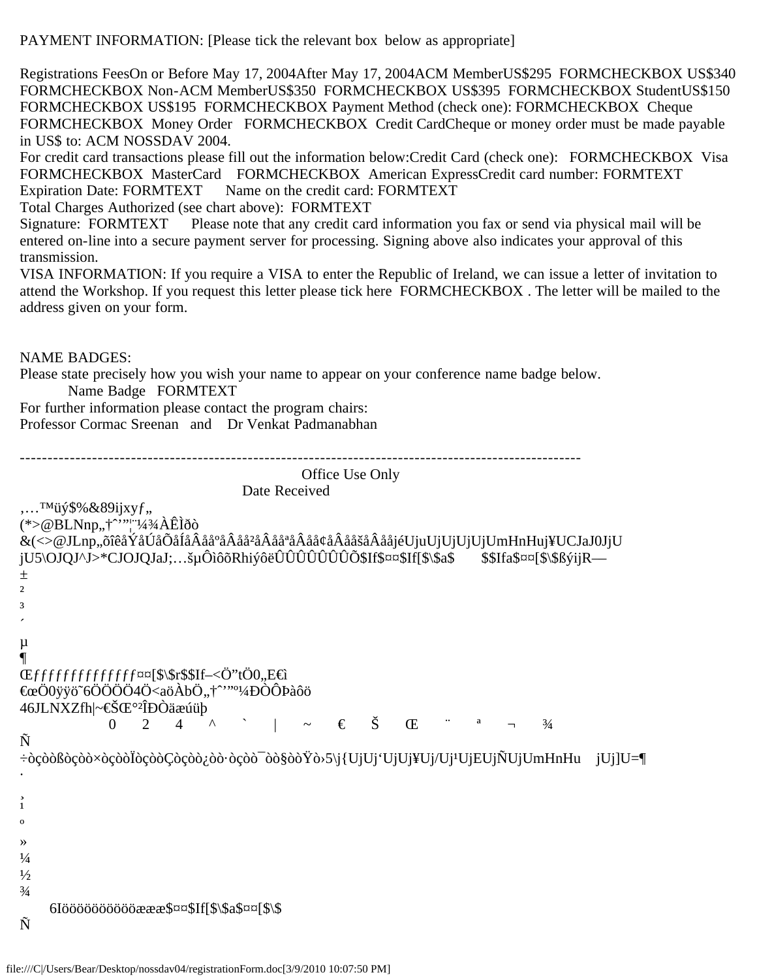PAYMENT INFORMATION: [Please tick the relevant box below as appropriate]

Registrations FeesOn or Before May 17, 2004After May 17, 2004ACM MemberUS\$295 FORMCHECKBOX US\$340 FORMCHECKBOX Non-ACM MemberUS\$350 FORMCHECKBOX US\$395 FORMCHECKBOX StudentUS\$150 FORMCHECKBOX US\$195 FORMCHECKBOX Payment Method (check one): FORMCHECKBOX Cheque FORMCHECKBOX Money Order FORMCHECKBOX Credit CardCheque or money order must be made payable in US\$ to: ACM NOSSDAV 2004.

For credit card transactions please fill out the information below:Credit Card (check one): FORMCHECKBOX Visa FORMCHECKBOX MasterCard FORMCHECKBOX American ExpressCredit card number: FORMTEXT Expiration Date: FORMTEXT Name on the credit card: FORMTEXT

Total Charges Authorized (see chart above): FORMTEXT

Signature: FORMTEXT Please note that any credit card information you fax or send via physical mail will be entered on-line into a secure payment server for processing. Signing above also indicates your approval of this transmission.

VISA INFORMATION: If you require a VISA to enter the Republic of Ireland, we can issue a letter of invitation to attend the Workshop. If you request this letter please tick here FORMCHECKBOX . The letter will be mailed to the address given on your form.

NAME BADGES:

Please state precisely how you wish your name to appear on your conference name badge below. Name Badge FORMTEXT

For further information please contact the program chairs: Professor Cormac Sreenan and Dr Venkat Padmanabhan

Office Use Only

Date Received

-----------------------------------------------------------------------------------------------------

 $,...^{\text{TM}}$ üý\$%&89ijxyf, (\*>@BLNnp,,†^''''''4<sup>3</sup>/4ÀÊÌðò  $\&(<\!\!<\!\!\varpi)$ Lnp,,õîêåÝåÚåÕåÍå $\hat A$ ååºå $\hat A$ ååå²å $\hat A$ ååå $\varphi$ å $\hat A$ ååššå $\hat A$ ååj $\acute\in$ Uju $\U$ jUjUjUmHnHuj¥UCJaJ0JjU jU5\OJQJ^J>\*CJOJQJaJ;...šµÔìôõRhiýôëÛÛÛÛÛÛÛÕ\$If\$¤¤\$If[\$\\$a\$ \$\$Ifa\$¤¤[\$\\$ßýijR— ± ² ³ ´  $\mu$ ¶ Œfffffffffffffffæ¤[\$\\$r\$\$If-<Ö"tÖ0,E€ €œÖ0ÿÿö˜6ÖÖÖÖ4Ö<aöÀbÖ"†ˆ'"º¼ÐÒÔÞàôö 46JLNXZfh|~€ŠŒ°²ÎÐÒäæúüþ  $0$  2 4 ^ ` | ~  $\in$   $\dot{S}$   $\in$   $\therefore$   $\begin{array}{ccc} a & - & 3/4 \\ 0 & 2 & 4 \end{array}$ Ñ ÷òçòòßòçòò×òçòòÏòçòòÇòçòò¿òò·òçòò¯òò§òòŸò›5\j{UjUj'UjUj¥Uj/Uj<sup>1</sup>UjEUjÑUjUmHnHu jUj]U=¶ · ¸  $\mathbf{1}$ º »  $\frac{1}{4}$  $\frac{1}{2}$  $\frac{3}{4}$  6Iööööööööööæææ\$¤¤\$If[\$\\$a\$¤¤[\$\\$ Ñ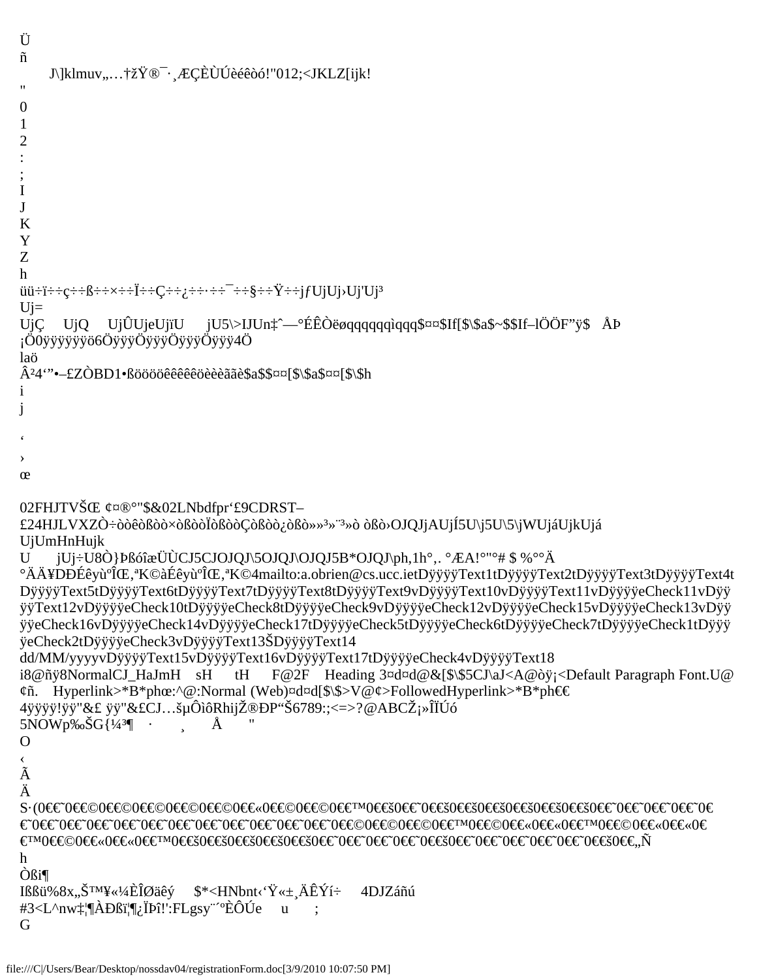```
Ü
ñ
     J\]klmuv,....†žŸ<sup>®</sup> · EÇÈÙÚèéêòó!"012;<JKLZ[ijk!
"
0
1
2
:
;
I
J
K
Y
Z
h
\ddot{u}\ddot{u}\ddot{v}\ddot{v}+\ddot{v}+\ddot{v}+\ddot{v}+\ddot{v}+\ddot{v}+\ddot{v}+\ddot{v}+\ddot{v}+\ddot{v}+\ddot{v}+\ddot{v}+\ddot{v}+\ddot{v}+\ddot{v}+\ddot{v}+\ddot{v}+\ddot{v}+\ddot{v}+\ddot{v}+\ddot{v}+\ddot{v}+\ddot{v}+\ddot{v}+\ddot{v}+\ddot{v}+\ddot{v}+\ddot{v}+\ddot{v}+\ddot{v}+\ddot{v}+\ddot{v}+\ddot{v}+\ddot{v}+\Uj=
UjÇ UjQ UjÛUjeUjïU jU5\>IJUn‡ˆ—°ÉÊÒëøqqqqqqìqqq$¤¤$If[$\$a$~$$If–lÖÖF"ÿ$ ÅÞ 
¡Ö0ÿÿÿÿÿÿö6ÖÿÿÿÖÿÿÿÖÿÿÿÖÿÿÿ4Ö
laö
²4'"•–£ZÒBD1•ßööööêêêêêöèèèããè$a$$¤¤[$\$a$¤¤[$\$h
i
j
\ddot{\phantom{0}}›
œ
02FHJTVŠŒ ¢¤®°"$&02LNbdfpr'£9CDRST–
£24HJLVXZÒ÷òòêòßòò×òßòòÏòßòòÇòßòò¿òßò»»³»¨³»ò òßò›OJQJjAUjÍ5U\j5U\5\jWUjáUjkUjá
UjUmHnHujk
U jUj÷U8Ò}ÞßóîæÜÙCJ5CJOJQJ\5OJQJ\OJQJ5B*OJQJ\ph,1h°,. °ÆA!°"°# $ %°°Ä
°ÄÄ¥DÐÉêyù°ÎŒ,ªK©àÉêyù°ÎŒ,ªK©4mailto:a.obrien@cs.ucc.ietDÿÿÿÿText1tDÿÿÿÿText2tDÿÿÿÿText3tDÿÿÿÿText4t
DÿÿÿÿText5tDÿÿÿÿText6tDÿÿÿÿText7tDÿÿÿÿText8tDÿÿÿÿText9vDÿÿÿÿText10vDÿÿÿÿText11vDÿÿÿÿeCheck11vDÿÿ
ÿÿText12vDÿÿÿÿeCheck10tDÿÿÿÿeCheck8tDÿÿÿÿeCheck9vDÿÿÿÿeCheck12vDÿÿÿÿeCheck15vDÿÿÿÿeCheck13vDÿÿ
ÿÿeCheck16vDÿÿÿÿeCheck14vDÿÿÿÿeCheck17tDÿÿÿÿeCheck5tDÿÿÿÿeCheck6tDÿÿÿÿeCheck7tDÿÿÿÿeCheck1tDÿÿÿ
ÿeCheck2tDÿÿÿÿeCheck3vDÿÿÿÿText13ŠDÿÿÿÿText14
dd/MM/yyyyvDÿÿÿÿText15vDÿÿÿÿText16vDÿÿÿÿText17tDÿÿÿÿeCheck4vDÿÿÿÿText18
i8@ñÿ8NormalCJ_HaJmH sH tH F@2F Heading 3¤d¤d@&[$\$5CJ\aJ<A@òÿ¡<Default Paragraph Font.U@
¢ñ. Hyperlink>*B*phœ:^@:Normal (Web)¤d¤d[$\$>V@¢>FollowedHyperlink>*B*ph€€
4ÿÿÿÿ!ÿÿ"&£ ÿÿ"&£CJ…šµÔìôRhijŽ®ÐP"Š6789:;<=>?@ABCŽ¡»ÎÏÚó
5NOWp\&6SG\{^{1/43}\}\quad \cdot \quad \AAO
‹
Ã
Ä
\mathrm{S}\cdot(0\oplus\mathbb{C})\oplus\mathbb{C}0\oplus\mathbb{C}0\oplus\mathbb{C}0\oplus\mathbb{C}0 \oplus\mathbb{C}0\oplus\mathbb{C}0 (\oplus\mathbb{C}0\oplus\mathbb{C}0\oplus\mathbb{C}0\oplus\mathbb{C}0) \oplus\mathbb{C}0\oplus\mathbb{C}0\oplus\mathbb{C}0€˜0€€˜0€€˜0€€˜0€€˜0€€˜0€€˜0€€˜0€€˜0€€˜0€€˜0€€˜0€€©0€€©0€€©0€€™0€€©0€€«0€€«0€€™0€€©0€€«0€€«0€
€™0€€©0€€«0€€«0€€™0€€š0€€š0€€š0€€š0€€š0€€˜0€€˜0€€˜0€€˜0€€š0€€˜0€€˜0€€˜0€€˜0€€˜0€€š0€€"Ñ
h
Òßi¶
Ißßü%8x,,Š™¥«¼ÈÎØäêý $*<HNbnt‹'Ÿ«±¸ÄÊÝí÷ 4DJZáñú
#3<L^nw‡¦¶ÀÐßï|¶¿ÏÞî!':FLgsy¨<sup>~o</sup>ÈÔÚe u ;
G
```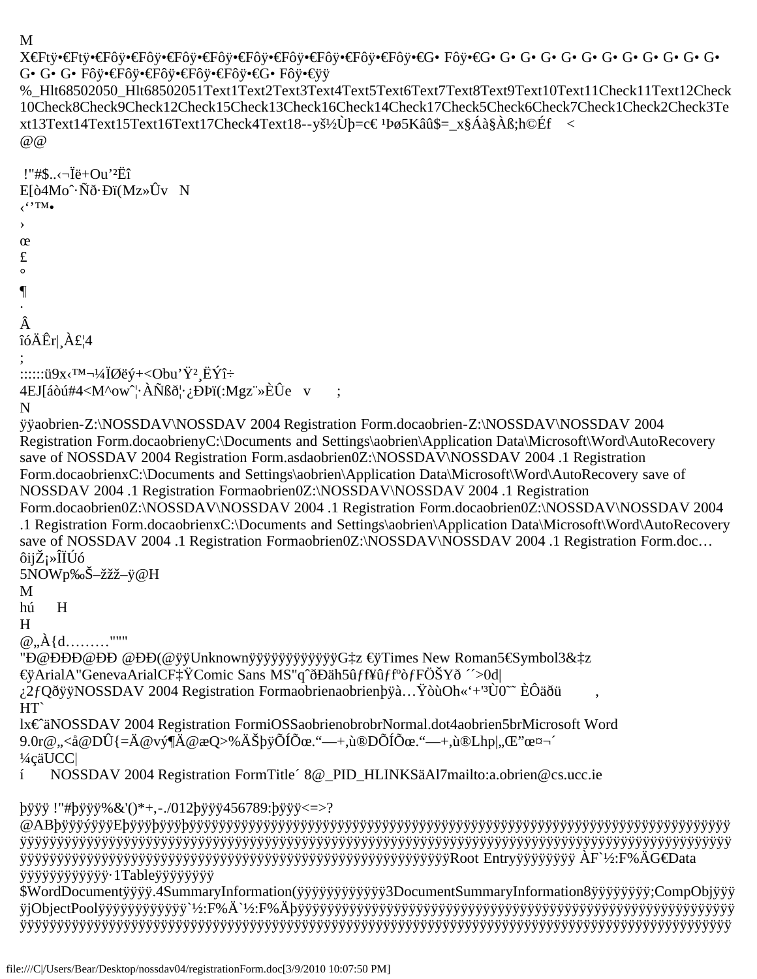```
M
```

```
X€Ftÿ•€Ftÿ•€Fôÿ•€Fôÿ•€Fôÿ•€Fôÿ•€Fôÿ•€Fôÿ•€Fôÿ•€Fôÿ•€Fôÿ•€G• Fôÿ•€G• G• G• G• G• G• G• G• G• G• G• G• 
G• G• G• Fôÿ•€Fôÿ•€Fôÿ•€Fôÿ•€Fôÿ•€G• Fôÿ•€ÿÿ
%_Hlt68502050_Hlt68502051Text1Text2Text3Text4Text5Text6Text7Text8Text9Text10Text11Check11Text12Check
10Check8Check9Check12Check15Check13Check16Check14Check17Check5Check6Check7Check1Check2Check3Te
xt13Text14Text15Text16Text17Check4Text18--yš½Ùþ=c€<sup>1</sup>Þø5Kâû$=_x§Áà§Àß;h©Éf <
\omega !"#$..‹¬Ïë+Ou'²Ëî
E[ò4Moˆ·Ñð·Ðï(Mz»Ûv N
\left\langle \cdot\right\rangle<sup>'</sup>' TM\bullet›
œ
£
°
¶
·
Â
îóÄÊr|¸À£¦4
;
::::::ü9x‹™¬¼ÏØëý+<Obu'Ÿ²¸ËÝî÷
4EJ[4\delta\omega\#4<\!\M\omega\omega\degree] \cdot \hat{A}\tilde{N}\beta\delta\degree; D\phi\gamma\gamma\delta\phi\gamma\delta\phi\gamma\delta\phi\gamma\gamma\delta\phiN
ÿÿaobrien-Z:\NOSSDAV\NOSSDAV 2004 Registration Form.docaobrien-Z:\NOSSDAV\NOSSDAV 2004 
Registration Form.docaobrienyC:\Documents and Settings\aobrien\Application Data\Microsoft\Word\AutoRecovery 
save of NOSSDAV 2004 Registration Form.asdaobrien0Z:\NOSSDAV\NOSSDAV 2004 .1 Registration
Form.docaobrienxC:\Documents and Settings\aobrien\Application Data\Microsoft\Word\AutoRecovery save of 
NOSSDAV 2004 .1 Registration Formaobrien0Z:\NOSSDAV\NOSSDAV 2004 .1 Registration 
Form.docaobrien0Z:\NOSSDAV\NOSSDAV 2004 .1 Registration Form.docaobrien0Z:\NOSSDAV\NOSSDAV 2004 
.1 Registration Form.docaobrienxC:\Documents and Settings\aobrien\Application Data\Microsoft\Word\AutoRecovery 
save of NOSSDAV 2004 .1 Registration Formaobrien0Z:\NOSSDAV\NOSSDAV 2004 .1 Registration Form.doc…
ôijŽ¡»ÎÏÚó
5NOWp‰Š–žžž–ÿ@H
M
hú H
H
@. A{d........."""
"Ð@ÐÐÐ@ÐÐ @ÐÐ(@ÿÿUnknownÿÿÿÿÿÿÿÿÿÿÿÿG‡z €ÿTimes New Roman5€Symbol3&‡z 
€ÿArialA"GenevaArialCF‡ŸComic Sans MS"qˆðÐäh5ûƒf¥ûƒfºòƒFÖŠYð ´´>0d|
¿2ƒQðÿÿNOSSDAV 2004 Registration Formaobrienaobrienþÿà…ŸòùOh«'+'³Ù0˜˜ ÈÔäðü ,
HT`
lx€ˆäNOSSDAV 2004 Registration FormiOSSaobrienobrobrNormal.dot4aobrien5brMicrosoft Word 
9.0r@,,\langle \aa @D\hat{U}\rangle = \ddot{A}@v\hat{\sqrt{A}}\ddot{Q} \& Q\hat{Q} \& \ddot{\Delta}Sþÿ\tilde{O}I\tilde{O}æ."—+,ù@D\tilde{O}I\tilde{O}æ."—+,ù@Lhpl,,E"œ¤¬´
¼çäUCC|
í NOSSDAV 2004 Registration FormTitle´ 8@_PID_HLINKSäAl7mailto:a.obrien@cs.ucc.ie 
þÿÿÿ !"#þÿÿÿ%&'()*+,-./012þÿÿÿ456789:þÿÿÿ<=>?
@ABþÿÿÿýÿÿÿEþÿÿÿþÿÿÿþÿÿÿÿÿÿÿÿÿÿÿÿÿÿÿÿÿÿÿÿÿÿÿÿÿÿÿÿÿÿÿÿÿÿÿÿÿÿÿÿÿÿÿÿÿÿÿÿÿÿÿÿÿÿÿÿÿÿÿÿÿÿÿÿÿÿÿÿÿÿÿÿÿ
ÿÿÿÿÿÿÿÿÿÿÿÿÿÿÿÿÿÿÿÿÿÿÿÿÿÿÿÿÿÿÿÿÿÿÿÿÿÿÿÿÿÿÿÿÿÿÿÿÿÿÿÿÿÿÿÿÿÿÿÿÿÿÿÿÿÿÿÿÿÿÿÿÿÿÿÿÿÿÿÿÿÿÿÿÿÿÿÿÿÿÿÿÿÿÿÿ
ÿÿÿÿÿÿÿÿÿÿÿÿÿÿÿÿÿÿÿÿÿÿÿÿÿÿÿÿÿÿÿÿÿÿÿÿÿÿÿÿÿÿÿÿÿÿÿÿÿÿÿÿÿÿÿÿÿÿRoot Entryÿÿÿÿÿÿÿÿ ÀF`½:F%ÄG€Data
ÿÿÿÿÿÿÿÿÿÿÿÿ·1Tableÿÿÿÿÿÿÿÿ
```
\$WordDocumentÿÿÿÿ.4SummaryInformation(ÿÿÿÿÿÿÿÿÿÿÿÿ3DocumentSummaryInformation8ÿÿÿÿÿÿÿÿ;CompObjÿÿÿ ÿjObjectPoolÿÿÿÿÿÿÿÿÿÿÿÿ`½:F%Ä`½:F%Äþÿÿÿÿÿÿÿÿÿÿÿÿÿÿÿÿÿÿÿÿÿÿÿÿÿÿÿÿÿÿÿÿÿÿÿÿÿÿÿÿÿÿÿÿÿÿÿÿÿÿÿÿÿÿÿÿÿÿÿ ÿÿÿÿÿÿÿÿÿÿÿÿÿÿÿÿÿÿÿÿÿÿÿÿÿÿÿÿÿÿÿÿÿÿÿÿÿÿÿÿÿÿÿÿÿÿÿÿÿÿÿÿÿÿÿÿÿÿÿÿÿÿÿÿÿÿÿÿÿÿÿÿÿÿÿÿÿÿÿÿÿÿÿÿÿÿÿÿÿÿÿÿÿÿÿÿ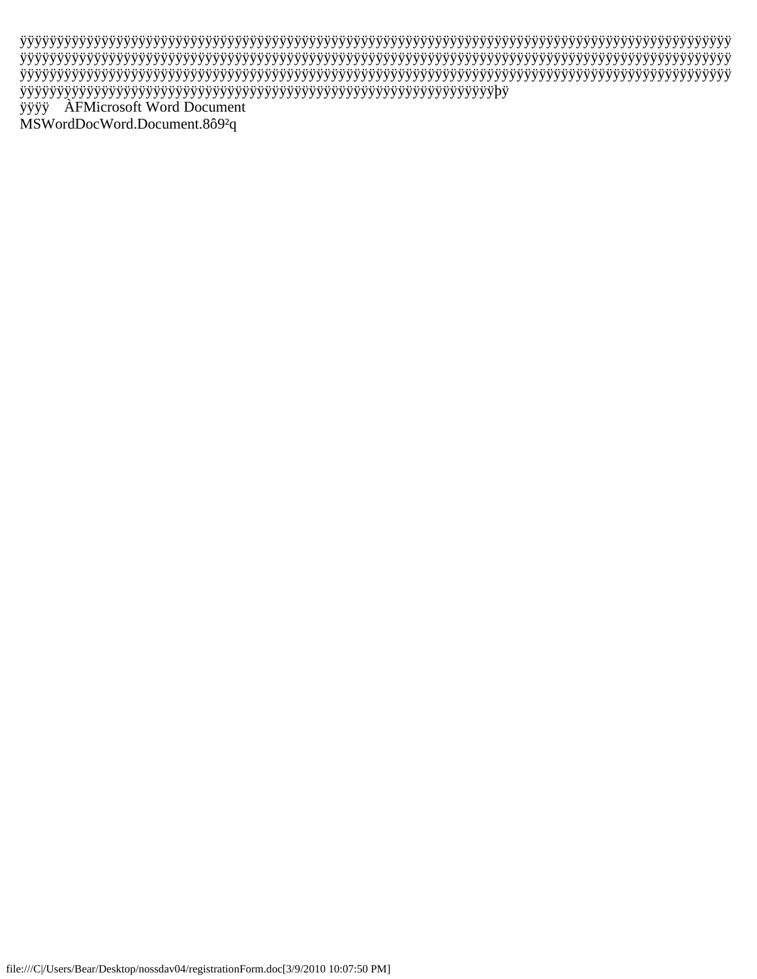ÿÿÿÿÿÿÿÿÿÿÿÿÿÿÿÿÿÿÿÿÿÿÿÿÿÿÿÿÿÿÿÿÿÿÿÿÿÿÿÿÿÿÿÿÿÿÿÿÿÿÿÿÿÿÿÿÿÿÿÿÿÿÿÿÿÿÿÿÿÿÿÿÿÿÿÿÿÿÿÿÿÿÿÿÿÿÿÿÿÿÿÿÿÿÿÿ ÿÿÿÿÿÿÿÿÿÿÿÿÿÿÿÿÿÿÿÿÿÿÿÿÿÿÿÿÿÿÿÿÿÿÿÿÿÿÿÿÿÿÿÿÿÿÿÿÿÿÿÿÿÿÿÿÿÿÿÿÿÿÿÿÿÿÿÿÿÿÿÿÿÿÿÿÿÿÿÿÿÿÿÿÿÿÿÿÿÿÿÿÿÿÿÿ ÿÿÿÿÿÿÿÿÿÿÿÿÿÿÿÿÿÿÿÿÿÿÿÿÿÿÿÿÿÿÿÿÿÿÿÿÿÿÿÿÿÿÿÿÿÿÿÿÿÿÿÿÿÿÿÿÿÿÿÿÿÿÿÿÿÿÿÿÿÿÿÿÿÿÿÿÿÿÿÿÿÿÿÿÿÿÿÿÿÿÿÿÿÿÿÿ ÿÿÿÿÿÿÿÿÿÿÿÿÿÿÿÿÿÿÿÿÿÿÿÿÿÿÿÿÿÿÿÿÿÿÿÿÿÿÿÿÿÿÿÿÿÿÿÿÿÿÿÿÿÿÿÿÿÿÿÿÿÿÿÿþÿ ÿÿÿÿ ÀFMicrosoft Word Document MSWordDocWord.Document.8ô9²q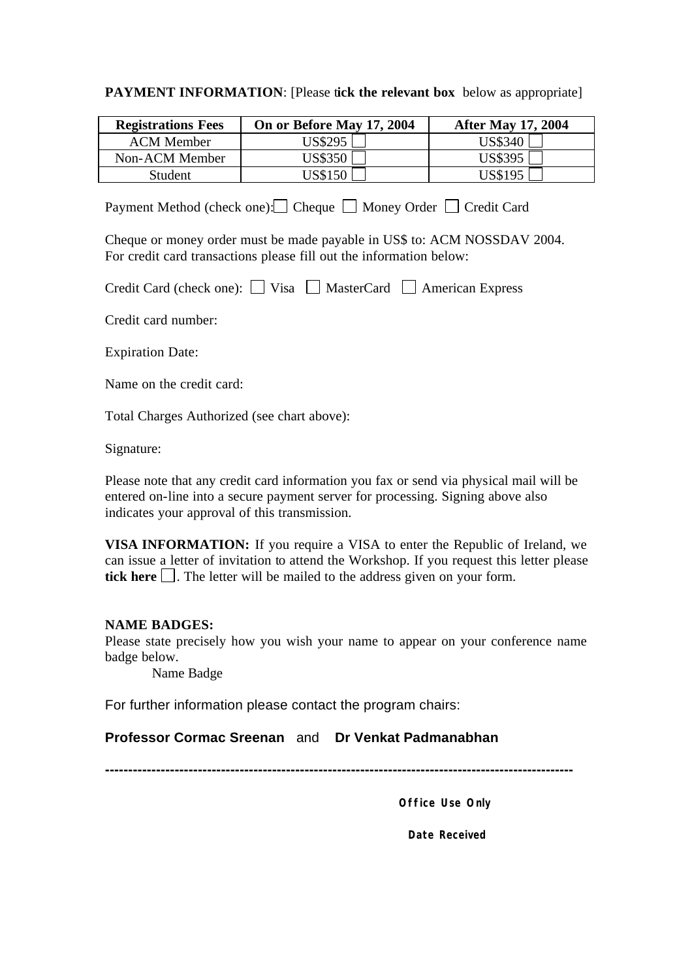#### <span id="page-23-0"></span>**PAYMENT INFORMATION:** [Please tick the relevant box below as appropriate]

| <b>Registrations Fees</b> | On or Before May 17, 2004 | <b>After May 17, 2004</b> |
|---------------------------|---------------------------|---------------------------|
| <b>ACM</b> Member         | US\$295                   | <b>US\$340</b>            |
| Non-ACM Member            | <b>US\$350</b>            | <b>US\$395</b>            |
| Student                   | JSS150                    | US\$195                   |

Payment Method (check one): Cheque  $\Box$  Money Order  $\Box$  Credit Card

Cheque or money order must be made payable in US\$ to: ACM NOSSDAV 2004. For credit card transactions please fill out the information below:

Credit Card (check one):  $□$  Visa  $□$  MasterCard  $□$  American Express

Credit card number:

Expiration Date:

Name on the credit card:

Total Charges Authorized (see chart above):

Signature:

Please note that any credit card information you fax or send via physical mail will be entered on-line into a secure payment server for processing. Signing above also indicates your approval of this transmission.

**VISA INFORMATION:** If you require a VISA to enter the Republic of Ireland, we can issue a letter of invitation to attend the Workshop. If you request this letter please **tick here**  $\Box$ . The letter will be mailed to the address given on your form.

#### **NAME BADGES:**

Please state precisely how you wish your name to appear on your conference name badge below.

Name Badge

For further information please contact the program chairs:

**Professor Cormac Sreenan** and **Dr Venkat Padmanabhan**

**-----------------------------------------------------------------------------------------------------** 

 **Office Use Only** 

 **Date Received**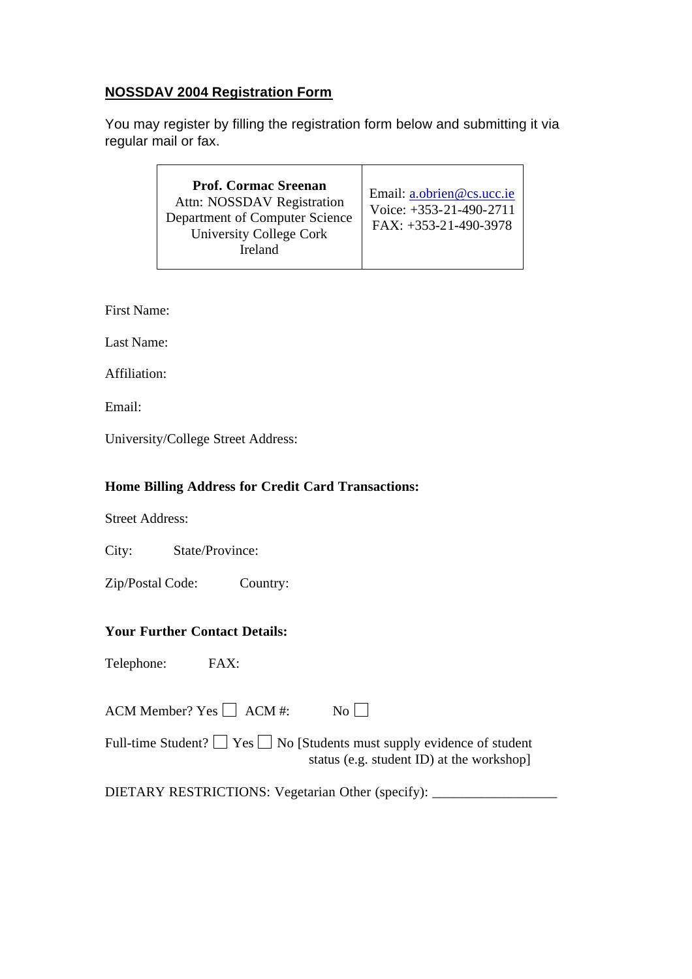### **NOSSDAV 2004 Registration Form**

You may register by filling the registration form below and submitting it via regular mail or fax.

| <b>Prof. Cormac Sreenan</b><br>Attn: NOSSDAV Registration<br>Department of Computer Science<br><b>University College Cork</b><br><b>Ireland</b> | Email: a.obrien@cs.ucc.ie<br>Voice: $+353-21-490-2711$<br>$FAX: +353-21-490-3978$ |
|-------------------------------------------------------------------------------------------------------------------------------------------------|-----------------------------------------------------------------------------------|
|-------------------------------------------------------------------------------------------------------------------------------------------------|-----------------------------------------------------------------------------------|

First Name:

Last Name:

Affiliation:

Email:

University/College Street Address:

#### **Home Billing Address for Credit Card Transactions:**

Street Address:

City: State/Province:

Zip/Postal Code: Country:

### **Your Further Contact Details:**

Telephone: FAX:

ACM Member? Yes  $\Box$  ACM #: No  $\Box$ 

Full-time Student?  $\Box$  Yes  $\Box$  No [Students must supply evidence of student status (e.g. student ID) at the workshop]

DIETARY RESTRICTIONS: Vegetarian Other (specify): \_\_\_\_\_\_\_\_\_\_\_\_\_\_\_\_\_\_\_\_\_\_\_\_\_\_\_\_\_\_